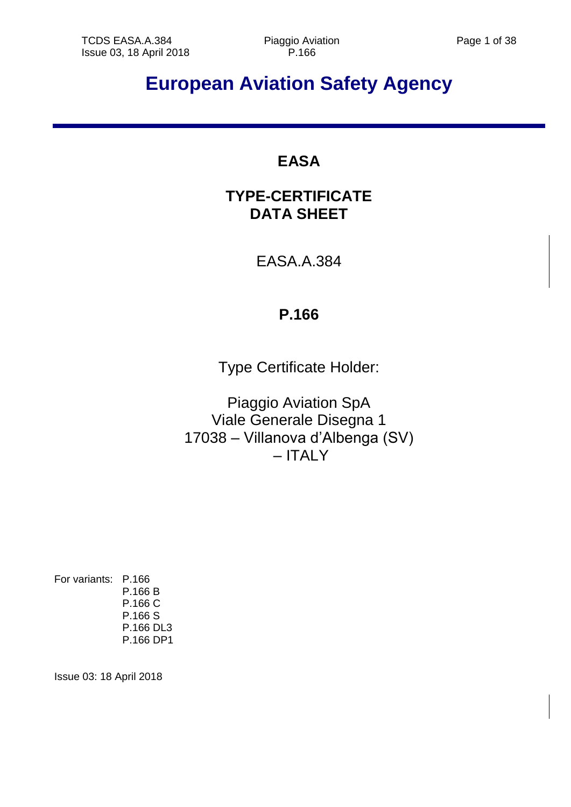# **European Aviation Safety Agency**

# **EASA**

# **TYPE-CERTIFICATE DATA SHEET**

EASA.A.384

# **P.166**

Type Certificate Holder:

Piaggio Aviation SpA Viale Generale Disegna 1 17038 – Villanova d'Albenga (SV) – ITALY

For variants: P.166 P.166 B P.166 C P.166 S P.166 DL3 P.166 DP1

Issue 03: 18 April 2018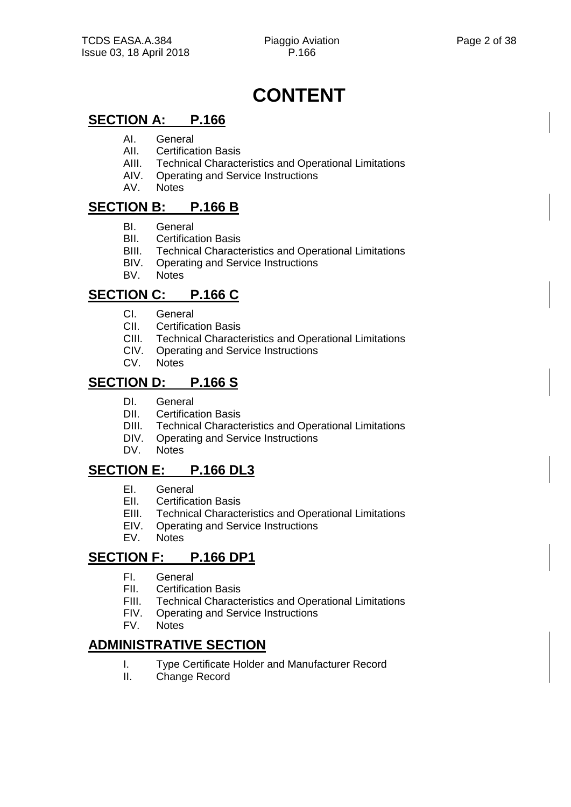# **CONTENT**

# **SECTION A: P.166**

- AI. General
- AII. Certification Basis
- AIII. Technical Characteristics and Operational Limitations<br>AIV. Operating and Service Instructions
- AIV. Operating and Service Instructions<br>AV. Notes
- **Notes**

# **SECTION B: P.166 B**

- BI. General
- BII. Certification Basis
- BIII. Technical Characteristics and Operational Limitations
- BIV. Operating and Service Instructions
- BV. Notes

# **SECTION C: P.166 C**

- CI. General
- CII. Certification Basis
- CIII. Technical Characteristics and Operational Limitations
- CIV. Operating and Service Instructions
- CV. Notes

# **SECTION D: P.166 S**

- DI. General
- DII. Certification Basis
- DIII. Technical Characteristics and Operational Limitations
- DIV. Operating and Service Instructions
- DV. Notes

# **SECTION E: P.166 DL3**

- EI. General
- EII. Certification Basis
- EIII. Technical Characteristics and Operational Limitations
- EIV. Operating and Service Instructions
- EV. Notes

# **SECTION F: P.166 DP1**

- FI. General
- FII. Certification Basis
- FIII. Technical Characteristics and Operational Limitations
- FIV. Operating and Service Instructions
- FV. Notes

# **ADMINISTRATIVE SECTION**

- I. Type Certificate Holder and Manufacturer Record
- II. Change Record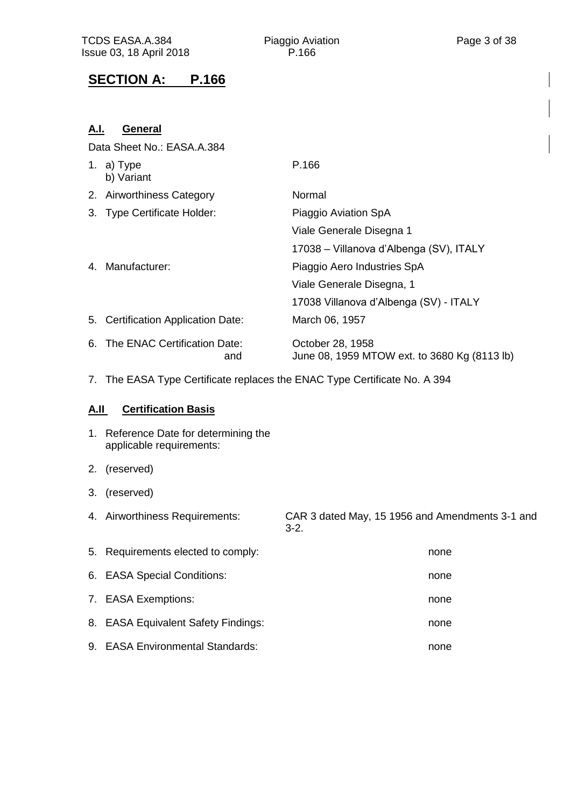# **SECTION A: P.166**

| A.I.        | <b>General</b>                                                            |                                                                  |  |  |  |  |
|-------------|---------------------------------------------------------------------------|------------------------------------------------------------------|--|--|--|--|
|             | Data Sheet No.: EASA.A.384                                                |                                                                  |  |  |  |  |
|             | 1. a) Type<br>b) Variant                                                  | P.166                                                            |  |  |  |  |
|             | 2. Airworthiness Category                                                 | Normal                                                           |  |  |  |  |
|             | 3. Type Certificate Holder:                                               | Piaggio Aviation SpA                                             |  |  |  |  |
|             |                                                                           | Viale Generale Disegna 1                                         |  |  |  |  |
|             |                                                                           | 17038 – Villanova d'Albenga (SV), ITALY                          |  |  |  |  |
|             | 4. Manufacturer:                                                          | Piaggio Aero Industries SpA                                      |  |  |  |  |
|             |                                                                           | Viale Generale Disegna, 1                                        |  |  |  |  |
|             |                                                                           | 17038 Villanova d'Albenga (SV) - ITALY                           |  |  |  |  |
|             | 5. Certification Application Date:                                        | March 06, 1957                                                   |  |  |  |  |
|             | 6. The ENAC Certification Date:<br>and                                    | October 28, 1958<br>June 08, 1959 MTOW ext. to 3680 Kg (8113 lb) |  |  |  |  |
|             | 7. The EASA Type Certificate replaces the ENAC Type Certificate No. A 394 |                                                                  |  |  |  |  |
| <u>A.IL</u> | <b>Certification Basis</b>                                                |                                                                  |  |  |  |  |
|             | 1. Reference Date for determining the<br>applicable requirements:         |                                                                  |  |  |  |  |
| 2.          | (reserved)                                                                |                                                                  |  |  |  |  |
| 3.          | (reserved)                                                                |                                                                  |  |  |  |  |
|             | 4. Airworthiness Requirements:                                            | CAR 3 dated May, 15 1956 and Amendments 3-1 and<br>$3-2.$        |  |  |  |  |
| 5.          | Requirements elected to comply:                                           | none                                                             |  |  |  |  |
| 6.          | <b>EASA Special Conditions:</b>                                           | none                                                             |  |  |  |  |
| 7.          | <b>EASA Exemptions:</b>                                                   | none                                                             |  |  |  |  |
| 8.          | <b>EASA Equivalent Safety Findings:</b>                                   | none                                                             |  |  |  |  |
|             | 9. EASA Environmental Standards:                                          | none                                                             |  |  |  |  |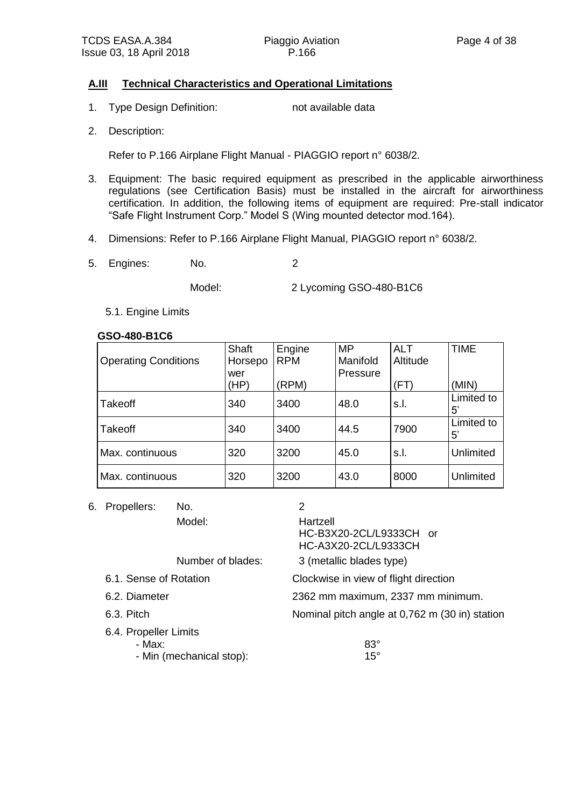#### **A.III Technical Characteristics and Operational Limitations**

- 1. Type Design Definition: not available data
- 2. Description:

Refer to P.166 Airplane Flight Manual - PIAGGIO report n° 6038/2.

- 3. Equipment: The basic required equipment as prescribed in the applicable airworthiness regulations (see Certification Basis) must be installed in the aircraft for airworthiness certification. In addition, the following items of equipment are required: Pre-stall indicator "Safe Flight Instrument Corp." Model S (Wing mounted detector mod.164).
- 4. Dimensions: Refer to P.166 Airplane Flight Manual, PIAGGIO report n° 6038/2.
- 5. Engines: No. 2

Model: 2 Lycoming GSO-480-B1C6

5.1. Engine Limits

#### **GSO-480-B1C6**

| <b>Operating Conditions</b> | Shaft<br>Horsepo<br>wer | Engine<br><b>RPM</b> | <b>MP</b><br>Manifold<br>Pressure | <b>ALT</b><br>Altitude | <b>TIME</b>               |
|-----------------------------|-------------------------|----------------------|-----------------------------------|------------------------|---------------------------|
|                             | (HP)                    | (RPM)                |                                   | (FT)                   | (MIN)                     |
| <b>Takeoff</b>              | 340                     | 3400                 | 48.0                              | s.l.                   | Limited to<br>$5^{\circ}$ |
| <b>Takeoff</b>              | 340                     | 3400                 | 44.5                              | 7900                   | Limited to<br>5'          |
| Max. continuous             | 320                     | 3200                 | 45.0                              | s.l.                   | <b>Unlimited</b>          |
| Max. continuous             | 320                     | 3200                 | 43.0                              | 8000                   | <b>Unlimited</b>          |

6. Propellers: No. 2

Model: Hartzell

HC-B3X20-2CL/L9333CH or HC-A3X20-2CL/L9333CH

Number of blades: 3 (metallic blades type)

- 6.1. Sense of Rotation Clockwise in view of flight direction
- 6.2. Diameter 2362 mm maximum, 2337 mm minimum.
- 6.3. Pitch Nominal pitch angle at 0,762 m (30 in) station

6.4. Propeller Limits

- Max: 83°
- Min (mechanical stop): 15°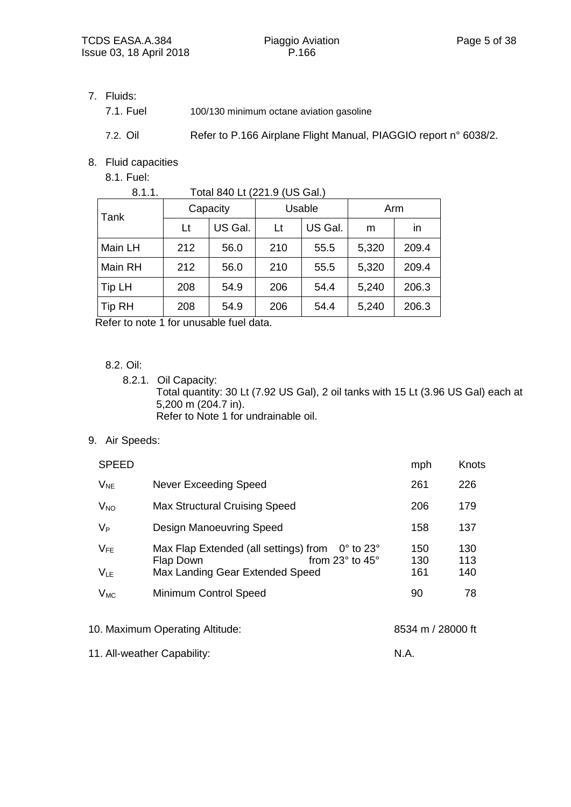7. Fluids:

| 7.1. Fuel | 100/130 minimum octane aviation gasoline |
|-----------|------------------------------------------|
|           |                                          |

7.2. Oil Refer to P.166 Airplane Flight Manual, PIAGGIO report n° 6038/2.

8. Fluid capacities

8.1. Fuel:

| 8.1.1.        |          | Total 840 Lt (221.9 (US Gal.) |        |         |       |       |
|---------------|----------|-------------------------------|--------|---------|-------|-------|
| Tank          | Capacity |                               | Usable |         | Arm   |       |
|               | Lt       | US Gal.                       | Lt     | US Gal. | m     | in    |
| Main LH       | 212      | 56.0                          | 210    | 55.5    | 5,320 | 209.4 |
| Main RH       | 212      | 56.0                          | 210    | 55.5    | 5,320 | 209.4 |
| Tip LH        | 208      | 54.9                          | 206    | 54.4    | 5,240 | 206.3 |
| <b>Tip RH</b> | 208      | 54.9                          | 206    | 54.4    | 5,240 | 206.3 |

Refer to note 1 for unusable fuel data.

8.2. Oil:

- 8.2.1. Oil Capacity: Total quantity: 30 Lt (7.92 US Gal), 2 oil tanks with 15 Lt (3.96 US Gal) each at 5,200 m (204.7 in). Refer to Note 1 for undrainable oil.
- 9. Air Speeds:

| <b>SPEED</b>         |                                                                                                                                                 | mph               | Knots             |
|----------------------|-------------------------------------------------------------------------------------------------------------------------------------------------|-------------------|-------------------|
| $V_{NE}$             | Never Exceeding Speed                                                                                                                           | 261               | 226               |
| $V_{NO}$             | <b>Max Structural Cruising Speed</b>                                                                                                            | 206               | 179               |
| $V_{P}$              | <b>Design Manoeuvring Speed</b>                                                                                                                 | 158               | 137               |
| $V_{FE}$<br>$V_{LE}$ | Max Flap Extended (all settings) from<br>$0^{\circ}$ to 23 $^{\circ}$<br>from 23° to 45°<br><b>Flap Down</b><br>Max Landing Gear Extended Speed | 150<br>130<br>161 | 130<br>113<br>140 |
| $V_{MC}$             | Minimum Control Speed                                                                                                                           | 90                | 78                |
|                      |                                                                                                                                                 |                   |                   |
|                      |                                                                                                                                                 |                   |                   |

10. Maximum Operating Altitude: 8534 m / 28000 ft

11. All-weather Capability: N.A.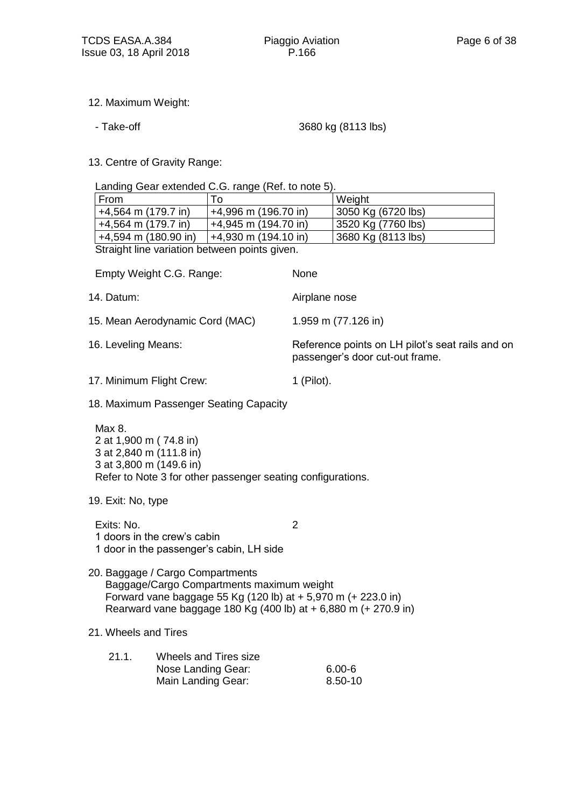- 12. Maximum Weight:
	-

- Take-off 3680 kg (8113 lbs)

13. Centre of Gravity Range:

Landing Gear extended C.G. range (Ref. to note 5).

| From                                         | To                     | Weight             |  |  |  |
|----------------------------------------------|------------------------|--------------------|--|--|--|
| $+4,564$ m (179.7 in)                        | $+4,996$ m (196.70 in) | 3050 Kg (6720 lbs) |  |  |  |
| $+4,564$ m (179.7 in)                        | $+4,945$ m (194.70 in) | 3520 Kg (7760 lbs) |  |  |  |
| $+4,594$ m (180.90 in)                       | $+4,930$ m (194.10 in) | 3680 Kg (8113 lbs) |  |  |  |
| Straight line variation between points given |                        |                    |  |  |  |

Straight line variation between points given.

| Empty Weight C.G. Range:                                                                                                                                                                                          | None          |                                                                                     |
|-------------------------------------------------------------------------------------------------------------------------------------------------------------------------------------------------------------------|---------------|-------------------------------------------------------------------------------------|
| 14. Datum:                                                                                                                                                                                                        |               | Airplane nose                                                                       |
| 15. Mean Aerodynamic Cord (MAC)                                                                                                                                                                                   |               | 1.959 m (77.126 in)                                                                 |
| 16. Leveling Means:                                                                                                                                                                                               |               | Reference points on LH pilot's seat rails and on<br>passenger's door cut-out frame. |
| 17. Minimum Flight Crew:                                                                                                                                                                                          | $1$ (Pilot).  |                                                                                     |
| 18. Maximum Passenger Seating Capacity                                                                                                                                                                            |               |                                                                                     |
| Max 8.<br>2 at 1,900 m (74.8 in)<br>3 at 2,840 m (111.8 in)<br>3 at 3,800 m (149.6 in)<br>Refer to Note 3 for other passenger seating configurations.                                                             |               |                                                                                     |
| 19. Exit: No, type                                                                                                                                                                                                |               |                                                                                     |
| Exits: No.<br>1 doors in the crew's cabin<br>1 door in the passenger's cabin, LH side                                                                                                                             | $\mathcal{P}$ |                                                                                     |
| 20. Baggage / Cargo Compartments<br>Baggage/Cargo Compartments maximum weight<br>Forward vane baggage 55 Kg (120 lb) at + 5,970 m (+ 223.0 in)<br>Rearward vane baggage 180 Kg (400 lb) at + 6,880 m (+ 270.9 in) |               |                                                                                     |
| 21. Wheels and Tires                                                                                                                                                                                              |               |                                                                                     |
| 21.1.<br>Wheels and Tires size<br>Nose Landing Gear:<br>Main Landing Gear:                                                                                                                                        |               | $6.00 - 6$<br>8.50-10                                                               |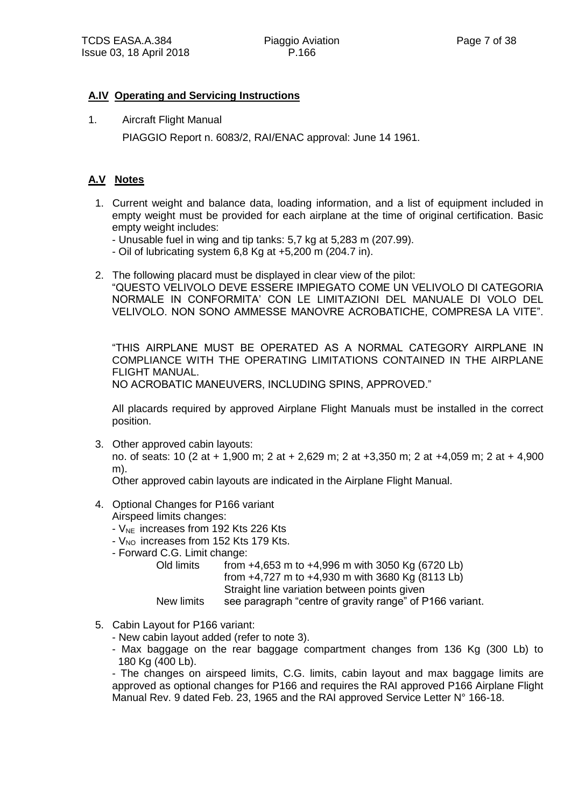#### **A.IV Operating and Servicing Instructions**

1. Aircraft Flight Manual PIAGGIO Report n. 6083/2, RAI/ENAC approval: June 14 1961.

#### **A.V Notes**

- 1. Current weight and balance data, loading information, and a list of equipment included in empty weight must be provided for each airplane at the time of original certification. Basic empty weight includes:
	- Unusable fuel in wing and tip tanks: 5,7 kg at 5,283 m (207.99).
	- Oil of lubricating system 6,8 Kg at +5,200 m (204.7 in).
- 2. The following placard must be displayed in clear view of the pilot: "QUESTO VELIVOLO DEVE ESSERE IMPIEGATO COME UN VELIVOLO DI CATEGORIA NORMALE IN CONFORMITA' CON LE LIMITAZIONI DEL MANUALE DI VOLO DEL VELIVOLO. NON SONO AMMESSE MANOVRE ACROBATICHE, COMPRESA LA VITE".

"THIS AIRPLANE MUST BE OPERATED AS A NORMAL CATEGORY AIRPLANE IN COMPLIANCE WITH THE OPERATING LIMITATIONS CONTAINED IN THE AIRPLANE FLIGHT MANUAL. NO ACROBATIC MANEUVERS, INCLUDING SPINS, APPROVED."

All placards required by approved Airplane Flight Manuals must be installed in the correct position.

3. Other approved cabin layouts:

no. of seats: 10 (2 at + 1,900 m; 2 at + 2,629 m; 2 at +3,350 m; 2 at +4,059 m; 2 at + 4,900 m).

Other approved cabin layouts are indicated in the Airplane Flight Manual.

- 4. Optional Changes for P166 variant Airspeed limits changes:
	- V<sub>NE</sub> increases from 192 Kts 226 Kts
	- V<sub>NO</sub> increases from 152 Kts 179 Kts.
	- Forward C.G. Limit change:

Old limits from +4,653 m to +4,996 m with 3050 Kg (6720 Lb) from +4,727 m to +4,930 m with 3680 Kg (8113 Lb) Straight line variation between points given

New limits see paragraph "centre of gravity range" of P166 variant.

- 5. Cabin Layout for P166 variant:
	- New cabin layout added (refer to note 3).
	- Max baggage on the rear baggage compartment changes from 136 Kg (300 Lb) to 180 Kg (400 Lb).

- The changes on airspeed limits, C.G. limits, cabin layout and max baggage limits are approved as optional changes for P166 and requires the RAI approved P166 Airplane Flight Manual Rev. 9 dated Feb. 23, 1965 and the RAI approved Service Letter N° 166-18.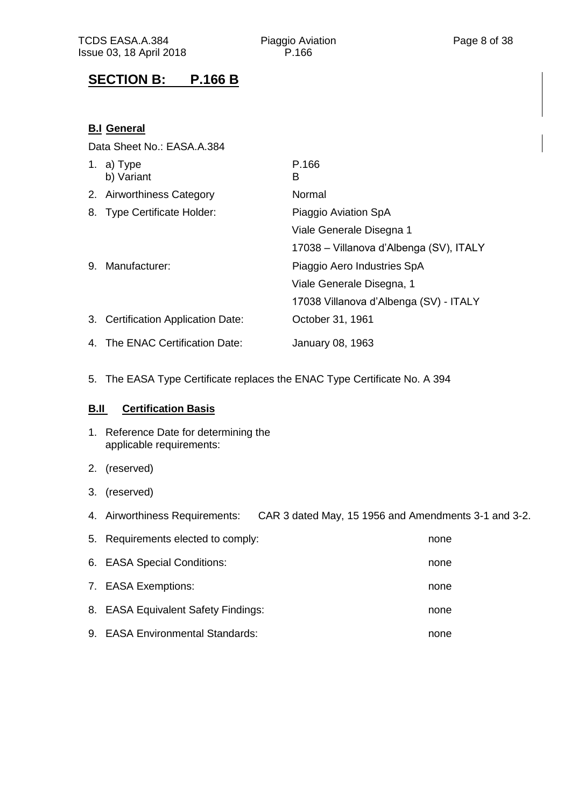# **SECTION B: P.166 B**

## **B.I General**

Data Sheet No.: EASA.A.384

|    | 1. a) $Type$<br>b) Variant         | P.166<br>в                              |
|----|------------------------------------|-----------------------------------------|
|    | 2. Airworthiness Category          | Normal                                  |
|    | 8. Type Certificate Holder:        | Piaggio Aviation SpA                    |
|    |                                    | Viale Generale Disegna 1                |
|    |                                    | 17038 – Villanova d'Albenga (SV), ITALY |
| 9. | Manufacturer:                      | Piaggio Aero Industries SpA             |
|    |                                    | Viale Generale Disegna, 1               |
|    |                                    | 17038 Villanova d'Albenga (SV) - ITALY  |
|    | 3. Certification Application Date: | October 31, 1961                        |
|    | 4. The ENAC Certification Date:    | January 08, 1963                        |

5. The EASA Type Certificate replaces the ENAC Type Certificate No. A 394

#### **B.II Certification Basis**

- 1. Reference Date for determining the applicable requirements:
- 2. (reserved)
- 3. (reserved)
- 4. Airworthiness Requirements: CAR 3 dated May, 15 1956 and Amendments 3-1 and 3-2.

| 5. Requirements elected to comply:  | none |
|-------------------------------------|------|
| 6. EASA Special Conditions:         | none |
| 7. EASA Exemptions:                 | none |
| 8. EASA Equivalent Safety Findings: | none |
| 9. EASA Environmental Standards:    | none |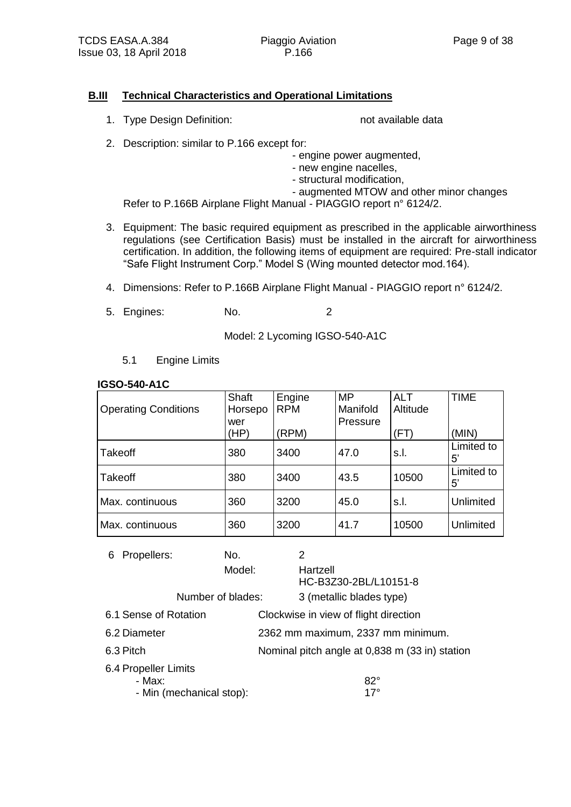#### **B.III Technical Characteristics and Operational Limitations**

1. Type Design Definition: not available data

- 2. Description: similar to P.166 except for:
	- engine power augmented,
	- new engine nacelles,
	- structural modification,
	- augmented MTOW and other minor changes

Refer to P.166B Airplane Flight Manual - PIAGGIO report n° 6124/2.

- 3. Equipment: The basic required equipment as prescribed in the applicable airworthiness regulations (see Certification Basis) must be installed in the aircraft for airworthiness certification. In addition, the following items of equipment are required: Pre-stall indicator "Safe Flight Instrument Corp." Model S (Wing mounted detector mod.164).
- 4. Dimensions: Refer to P.166B Airplane Flight Manual PIAGGIO report n° 6124/2.
- 5. Engines: No. 2

Model: 2 Lycoming IGSO-540-A1C

5.1 Engine Limits

| 1930-340-ATU                |         |            |           |            |                           |
|-----------------------------|---------|------------|-----------|------------|---------------------------|
|                             | Shaft   | Engine     | <b>MP</b> | <b>ALT</b> | <b>TIME</b>               |
| <b>Operating Conditions</b> | Horsepo | <b>RPM</b> | Manifold  | Altitude   |                           |
|                             | wer     |            | Pressure  |            |                           |
|                             | (HP)    | (RPM)      |           | (FT)       | (MIN)                     |
| Takeoff                     | 380     | 3400       | 47.0      | s.l.       | Limited to<br>$5^{\circ}$ |
| <b>Takeoff</b>              | 380     | 3400       | 43.5      | 10500      | Limited to<br>$5^{\circ}$ |
| Max. continuous             | 360     | 3200       | 45.0      | s.l.       | Unlimited                 |
| Max. continuous             | 360     | 3200       | 41.7      | 10500      | Unlimited                 |

| Propellers:<br>6               | No.                      | 2                                              |
|--------------------------------|--------------------------|------------------------------------------------|
|                                | Model:                   | Hartzell<br>HC-B3Z30-2BL/L10151-8              |
|                                | Number of blades:        | 3 (metallic blades type)                       |
| 6.1 Sense of Rotation          |                          | Clockwise in view of flight direction          |
| 6.2 Diameter                   |                          | 2362 mm maximum, 2337 mm minimum.              |
| 6.3 Pitch                      |                          | Nominal pitch angle at 0,838 m (33 in) station |
| 6.4 Propeller Limits<br>- Max: | - Min (mechanical stop): | $82^{\circ}$<br>$17^\circ$                     |

#### **IGSO-540-A1C**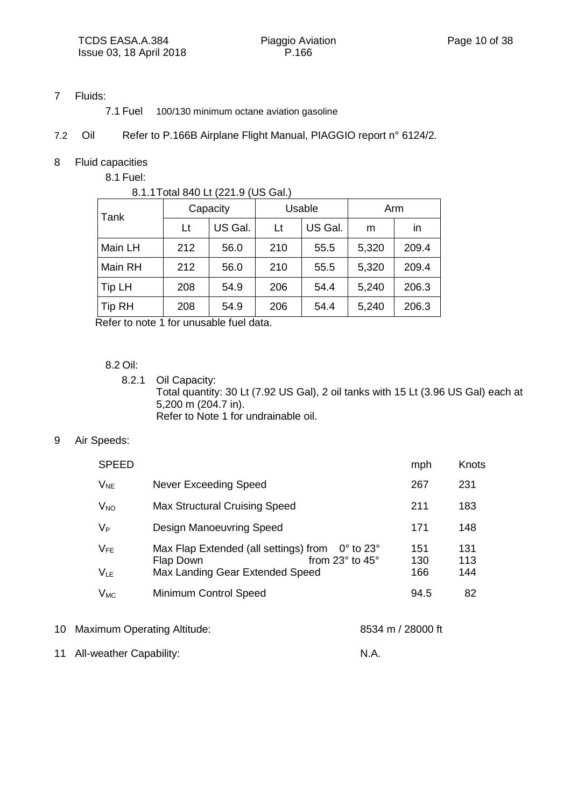#### 7 Fluids:

7.1 Fuel 100/130 minimum octane aviation gasoline

#### 7.2 Oil Refer to P.166B Airplane Flight Manual, PIAGGIO report n° 6124/2.

#### 8 Fluid capacities

8.1 Fuel:

| 8.1.1 Total 840 Lt (221.9 (US Gal.) |          |         |        |         |       |       |
|-------------------------------------|----------|---------|--------|---------|-------|-------|
| Tank                                | Capacity |         | Usable |         | Arm   |       |
|                                     | Lt       | US Gal. | Lt     | US Gal. | m     | in    |
| Main LH                             | 212      | 56.0    | 210    | 55.5    | 5,320 | 209.4 |
| Main RH                             | 212      | 56.0    | 210    | 55.5    | 5,320 | 209.4 |
| Tip LH                              | 208      | 54.9    | 206    | 54.4    | 5,240 | 206.3 |
| Tip RH                              | 208      | 54.9    | 206    | 54.4    | 5,240 | 206.3 |

Refer to note 1 for unusable fuel data.

#### 8.2 Oil:

8.2.1 Oil Capacity: Total quantity: 30 Lt (7.92 US Gal), 2 oil tanks with 15 Lt (3.96 US Gal) each at 5,200 m (204.7 in). Refer to Note 1 for undrainable oil.

#### 9 Air Speeds:

| <b>SPEED</b>         |                                                                                                                                                        | mph               | Knots             |
|----------------------|--------------------------------------------------------------------------------------------------------------------------------------------------------|-------------------|-------------------|
| $V_{NE}$             | Never Exceeding Speed                                                                                                                                  | 267               | 231               |
| $V_{NO}$             | <b>Max Structural Cruising Speed</b>                                                                                                                   | 211               | 183               |
| $V_{P}$              | <b>Design Manoeuvring Speed</b>                                                                                                                        | 171               | 148               |
| $V_{FE}$<br>$V_{LE}$ | Max Flap Extended (all settings) from<br>$0^{\circ}$ to 23 $^{\circ}$<br>from $23^\circ$ to $45^\circ$<br>Flap Down<br>Max Landing Gear Extended Speed | 151<br>130<br>166 | 131<br>113<br>144 |
| $V_{MC}$             | <b>Minimum Control Speed</b>                                                                                                                           | 94.5              | 82                |
|                      |                                                                                                                                                        |                   |                   |

10 Maximum Operating Altitude: 8534 m / 28000 ft

11 All-weather Capability: N.A.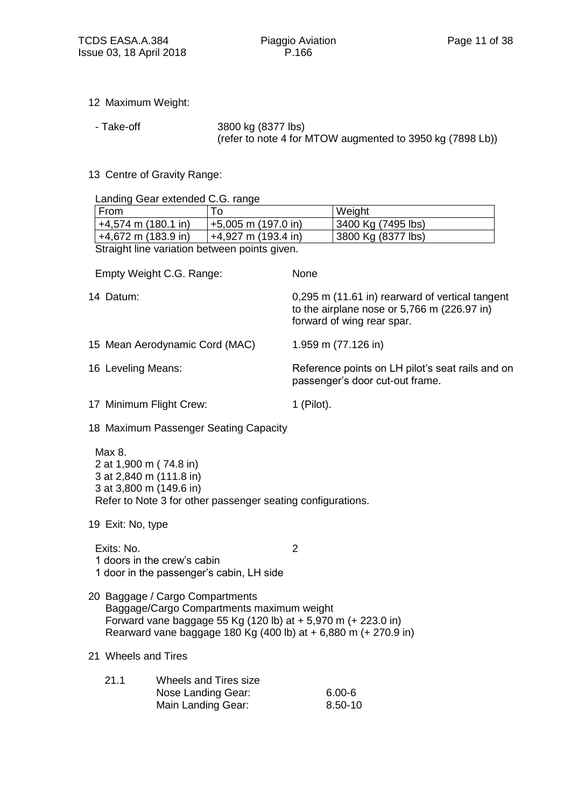- 12 Maximum Weight:
	-

- Take-off 3800 kg (8377 lbs) (refer to note 4 for MTOW augmented to 3950 kg (7898 Lb))

13 Centre of Gravity Range:

Landing Gear extended  $C$  G.

| Landing Gear extended C.G. range                                                       |                                                                                                                                                                                                                  |                                                                                                                                |                |                     |  |
|----------------------------------------------------------------------------------------|------------------------------------------------------------------------------------------------------------------------------------------------------------------------------------------------------------------|--------------------------------------------------------------------------------------------------------------------------------|----------------|---------------------|--|
| From                                                                                   |                                                                                                                                                                                                                  | To                                                                                                                             |                | Weight              |  |
| $+4,574$ m (180.1 in)                                                                  |                                                                                                                                                                                                                  | +5,005 m (197.0 in)                                                                                                            |                | 3400 Kg (7495 lbs)  |  |
| +4,672 m (183.9 in)                                                                    |                                                                                                                                                                                                                  | +4,927 m (193.4 in)                                                                                                            |                | 3800 Kg (8377 lbs)  |  |
|                                                                                        |                                                                                                                                                                                                                  | Straight line variation between points given.                                                                                  |                |                     |  |
| Empty Weight C.G. Range:                                                               |                                                                                                                                                                                                                  |                                                                                                                                | None           |                     |  |
| 14 Datum:                                                                              |                                                                                                                                                                                                                  | 0,295 m (11.61 in) rearward of vertical tangent<br>to the airplane nose or $5,766$ m (226.97 in)<br>forward of wing rear spar. |                |                     |  |
| 15 Mean Aerodynamic Cord (MAC)                                                         |                                                                                                                                                                                                                  |                                                                                                                                |                | 1.959 m (77.126 in) |  |
| 16 Leveling Means:                                                                     |                                                                                                                                                                                                                  | Reference points on LH pilot's seat rails and on<br>passenger's door cut-out frame.                                            |                |                     |  |
| 17 Minimum Flight Crew:                                                                |                                                                                                                                                                                                                  | $1$ (Pilot).                                                                                                                   |                |                     |  |
|                                                                                        |                                                                                                                                                                                                                  | 18 Maximum Passenger Seating Capacity                                                                                          |                |                     |  |
| Max 8.<br>2 at 1,900 m (74.8 in)<br>3 at 2,840 m (111.8 in)<br>3 at 3,800 m (149.6 in) |                                                                                                                                                                                                                  | Refer to Note 3 for other passenger seating configurations.                                                                    |                |                     |  |
| 19 Exit: No, type                                                                      |                                                                                                                                                                                                                  |                                                                                                                                |                |                     |  |
| Exits: No.<br>1 doors in the crew's cabin<br>1 door in the passenger's cabin, LH side  |                                                                                                                                                                                                                  |                                                                                                                                | $\overline{2}$ |                     |  |
|                                                                                        | 20 Baggage / Cargo Compartments<br>Baggage/Cargo Compartments maximum weight<br>Forward vane baggage 55 Kg (120 lb) at + 5,970 m (+ 223.0 in)<br>Rearward vane baggage 180 Kg (400 lb) at + 6,880 m (+ 270.9 in) |                                                                                                                                |                |                     |  |
| 21 Wheels and Tires                                                                    |                                                                                                                                                                                                                  |                                                                                                                                |                |                     |  |

| 21.1 | Wheels and Tires size |            |  |  |  |
|------|-----------------------|------------|--|--|--|
|      | Nose Landing Gear:    | $6.00 - 6$ |  |  |  |
|      | Main Landing Gear:    | 8.50-10    |  |  |  |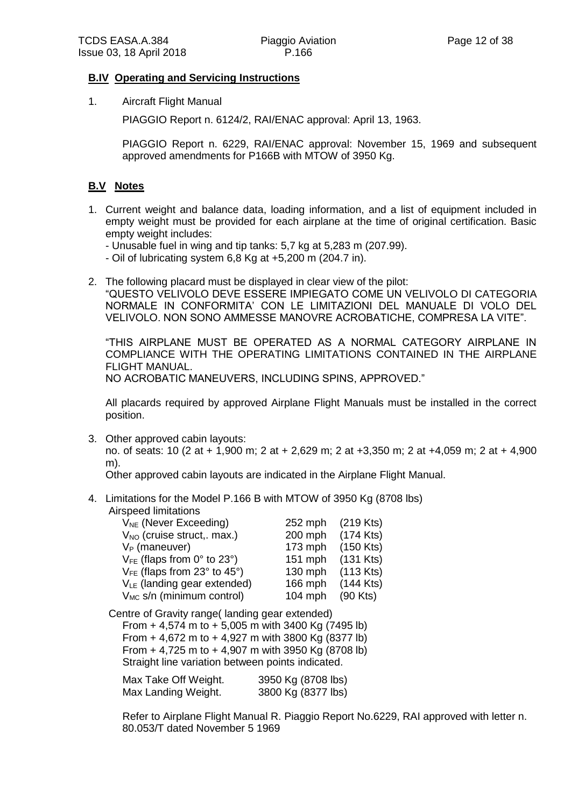#### **B.IV Operating and Servicing Instructions**

1. Aircraft Flight Manual

PIAGGIO Report n. 6124/2, RAI/ENAC approval: April 13, 1963.

PIAGGIO Report n. 6229, RAI/ENAC approval: November 15, 1969 and subsequent approved amendments for P166B with MTOW of 3950 Kg.

#### **B.V Notes**

- 1. Current weight and balance data, loading information, and a list of equipment included in empty weight must be provided for each airplane at the time of original certification. Basic empty weight includes:
	- Unusable fuel in wing and tip tanks: 5,7 kg at 5,283 m (207.99).
	- Oil of lubricating system 6,8 Kg at +5,200 m (204.7 in).
- 2. The following placard must be displayed in clear view of the pilot: "QUESTO VELIVOLO DEVE ESSERE IMPIEGATO COME UN VELIVOLO DI CATEGORIA NORMALE IN CONFORMITA' CON LE LIMITAZIONI DEL MANUALE DI VOLO DEL VELIVOLO. NON SONO AMMESSE MANOVRE ACROBATICHE, COMPRESA LA VITE".

"THIS AIRPLANE MUST BE OPERATED AS A NORMAL CATEGORY AIRPLANE IN COMPLIANCE WITH THE OPERATING LIMITATIONS CONTAINED IN THE AIRPLANE FLIGHT MANUAL.

NO ACROBATIC MANEUVERS, INCLUDING SPINS, APPROVED."

All placards required by approved Airplane Flight Manuals must be installed in the correct position.

3. Other approved cabin layouts:

no. of seats: 10 (2 at + 1,900 m; 2 at + 2,629 m; 2 at +3,350 m; 2 at +4,059 m; 2 at + 4,900 m).

Other approved cabin layouts are indicated in the Airplane Flight Manual.

4. Limitations for the Model P.166 B with MTOW of 3950 Kg (8708 lbs)

Airspeed limitations

| $V_{NE}$ (Never Exceeding)                          | 252 mph   | $(219$ Kts) |
|-----------------------------------------------------|-----------|-------------|
| $V_{NO}$ (cruise struct,. max.)                     | 200 mph   | $(174$ Kts) |
| $V_P$ (maneuver)                                    | $173$ mph | $(150$ Kts) |
| $V_{FE}$ (flaps from 0° to 23°)                     | 151 mph   | $(131$ Kts) |
| $V_{FE}$ (flaps from 23 $\degree$ to 45 $\degree$ ) | 130 mph   | $(113$ Kts) |
| V <sub>LE</sub> (landing gear extended)             | 166 mph   | $(144$ Kts) |
| V <sub>MC</sub> s/n (minimum control)               | $104$ mph | $(90$ Kts)  |

Centre of Gravity range( landing gear extended) From + 4,574 m to + 5,005 m with 3400 Kg (7495 lb) From + 4,672 m to + 4,927 m with 3800 Kg (8377 lb) From + 4,725 m to + 4,907 m with 3950 Kg (8708 lb) Straight line variation between points indicated.

| Max Take Off Weight. | 3950 Kg (8708 lbs) |
|----------------------|--------------------|
| Max Landing Weight.  | 3800 Kg (8377 lbs) |

Refer to Airplane Flight Manual R. Piaggio Report No.6229, RAI approved with letter n. 80.053/T dated November 5 1969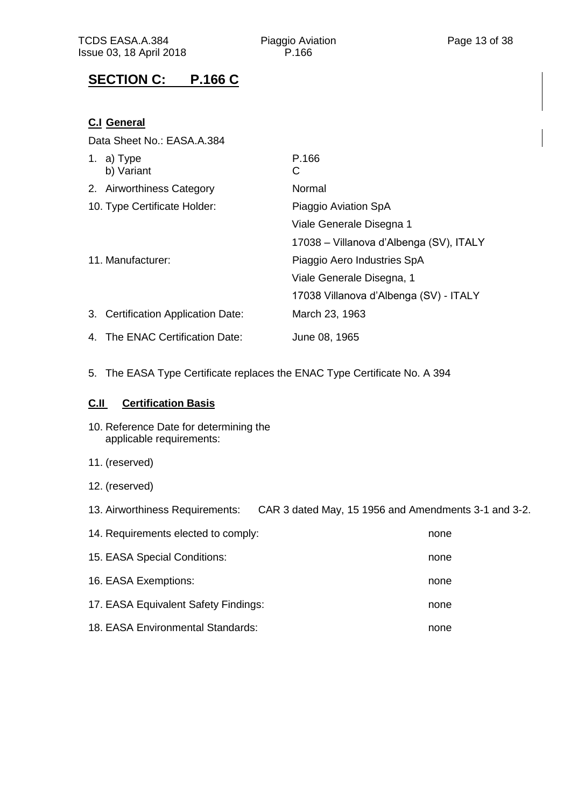# **SECTION C: P.166 C**

### **C.I General**

Data Sheet No.: EASA.A.384

| 1. a) $Type$<br>b) Variant         | P.166<br>С                              |
|------------------------------------|-----------------------------------------|
| 2. Airworthiness Category          | Normal                                  |
| 10. Type Certificate Holder:       | Piaggio Aviation SpA                    |
|                                    | Viale Generale Disegna 1                |
|                                    | 17038 – Villanova d'Albenga (SV), ITALY |
| 11. Manufacturer:                  | Piaggio Aero Industries SpA             |
|                                    | Viale Generale Disegna, 1               |
|                                    | 17038 Villanova d'Albenga (SV) - ITALY  |
| 3. Certification Application Date: | March 23, 1963                          |
| 4. The ENAC Certification Date:    | June 08, 1965                           |

5. The EASA Type Certificate replaces the ENAC Type Certificate No. A 394

#### **C.II Certification Basis**

- 10. Reference Date for determining the applicable requirements:
- 11. (reserved)
- 12. (reserved)

13. Airworthiness Requirements: CAR 3 dated May, 15 1956 and Amendments 3-1 and 3-2.

| 14. Requirements elected to comply:  | none |
|--------------------------------------|------|
| 15. EASA Special Conditions:         | none |
| 16. EASA Exemptions:                 | none |
| 17. EASA Equivalent Safety Findings: | none |
| 18. EASA Environmental Standards:    | none |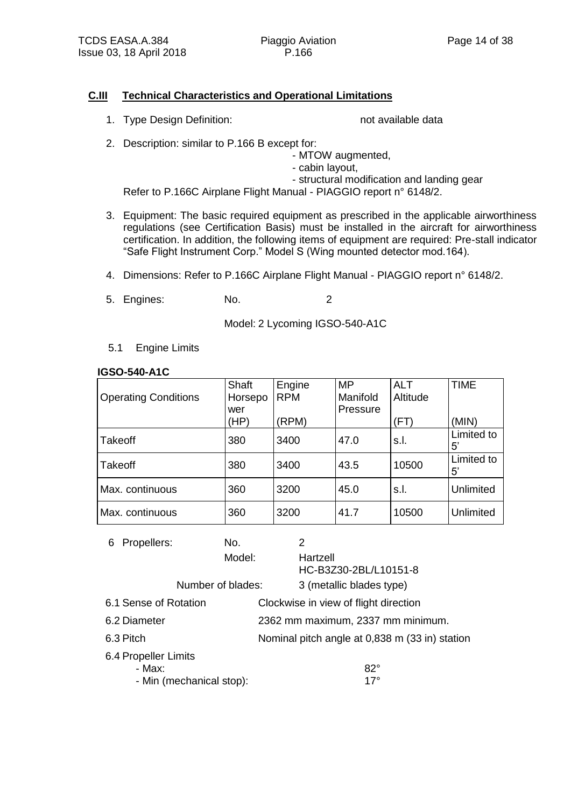#### **C.III Technical Characteristics and Operational Limitations**

1. Type Design Definition: not available data

- 2. Description: similar to P.166 B except for:
	- MTOW augmented,
	- cabin layout,
	- structural modification and landing gear

Refer to P.166C Airplane Flight Manual - PIAGGIO report n° 6148/2.

- 3. Equipment: The basic required equipment as prescribed in the applicable airworthiness regulations (see Certification Basis) must be installed in the aircraft for airworthiness certification. In addition, the following items of equipment are required: Pre-stall indicator "Safe Flight Instrument Corp." Model S (Wing mounted detector mod.164).
- 4. Dimensions: Refer to P.166C Airplane Flight Manual PIAGGIO report n° 6148/2.
- 5. Engines: No. 2

Model: 2 Lycoming IGSO-540-A1C

5.1 Engine Limits

#### **IGSO-540-A1C**

| <b>Operating Conditions</b> | Shaft<br>Horsepo | Engine<br><b>RPM</b> | <b>MP</b><br>Manifold | <b>ALT</b><br>Altitude | <b>TIME</b>      |
|-----------------------------|------------------|----------------------|-----------------------|------------------------|------------------|
|                             | wer<br>(HP)      | (RPM)                | Pressure              | (FT)                   | (MIN)            |
| Takeoff                     | 380              | 3400                 | 47.0                  | s.l.                   | Limited to<br>5' |
| Takeoff                     | 380              | 3400                 | 43.5                  | 10500                  | Limited to<br>5' |
| Max. continuous             | 360              | 3200                 | 45.0                  | s.l.                   | <b>Unlimited</b> |
| Max. continuous             | 360              | 3200                 | 41.7                  | 10500                  | <b>Unlimited</b> |

| Propellers:<br>6      | No.                      | 2                                              |
|-----------------------|--------------------------|------------------------------------------------|
|                       | Model:                   | Hartzell<br>HC-B3Z30-2BL/L10151-8              |
|                       |                          |                                                |
|                       | Number of blades:        | 3 (metallic blades type)                       |
| 6.1 Sense of Rotation |                          | Clockwise in view of flight direction          |
| 6.2 Diameter          |                          | 2362 mm maximum, 2337 mm minimum.              |
| 6.3 Pitch             |                          | Nominal pitch angle at 0,838 m (33 in) station |
| 6.4 Propeller Limits  |                          |                                                |
| - Max:                |                          | $82^\circ$                                     |
|                       | - Min (mechanical stop): | $17^{\circ}$                                   |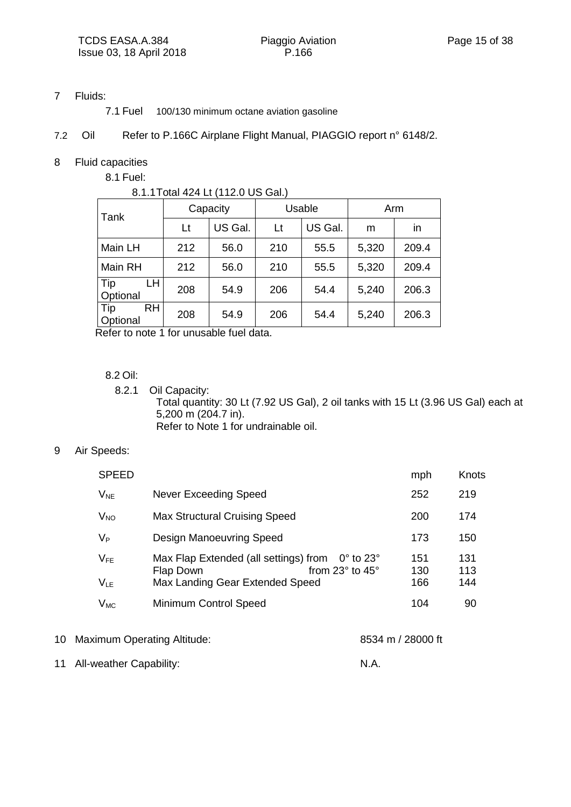#### 7 Fluids:

7.1 Fuel 100/130 minimum octane aviation gasoline

#### 7.2 Oil Refer to P.166C Airplane Flight Manual, PIAGGIO report n° 6148/2.

#### 8 Fluid capacities

8.1 Fuel:

|                              | 8.1.1 Total 424 Lt (112.0 US Gal.) |         |        |         |       |       |
|------------------------------|------------------------------------|---------|--------|---------|-------|-------|
| Tank                         | Capacity                           |         | Usable |         | Arm   |       |
|                              | Lt                                 | US Gal. | Lt     | US Gal. | m     | in    |
| Main LH                      | 212                                | 56.0    | 210    | 55.5    | 5,320 | 209.4 |
| Main RH                      | 212                                | 56.0    | 210    | 55.5    | 5,320 | 209.4 |
| Tip<br>LH.<br>Optional       | 208                                | 54.9    | 206    | 54.4    | 5,240 | 206.3 |
| Tip<br><b>RH</b><br>Optional | 208                                | 54.9    | 206    | 54.4    | 5,240 | 206.3 |

Refer to note 1 for unusable fuel data.

#### 8.2 Oil:

8.2.1 Oil Capacity: Total quantity: 30 Lt (7.92 US Gal), 2 oil tanks with 15 Lt (3.96 US Gal) each at 5,200 m (204.7 in). Refer to Note 1 for undrainable oil.

#### 9 Air Speeds:

| <b>SPEED</b>                                                                                                                                                     | mph               | Knots             |
|------------------------------------------------------------------------------------------------------------------------------------------------------------------|-------------------|-------------------|
| $V_{NE}$<br>Never Exceeding Speed                                                                                                                                | 252               | 219               |
| Max Structural Cruising Speed<br><b>V<sub>NO</sub></b>                                                                                                           | 200               | 174               |
| $V_P$<br><b>Design Manoeuvring Speed</b>                                                                                                                         | 173               | 150               |
| Max Flap Extended (all settings) from<br>$V_{FE}$<br>$0^{\circ}$ to 23 $^{\circ}$<br>from 23° to 45°<br>Flap Down<br>Max Landing Gear Extended Speed<br>$V_{LE}$ | 151<br>130<br>166 | 131<br>113<br>144 |
| <b>Minimum Control Speed</b><br>$V_{MC}$                                                                                                                         | 104               | 90                |

10 Maximum Operating Altitude: 8534 m / 28000 ft

11 All-weather Capability: N.A.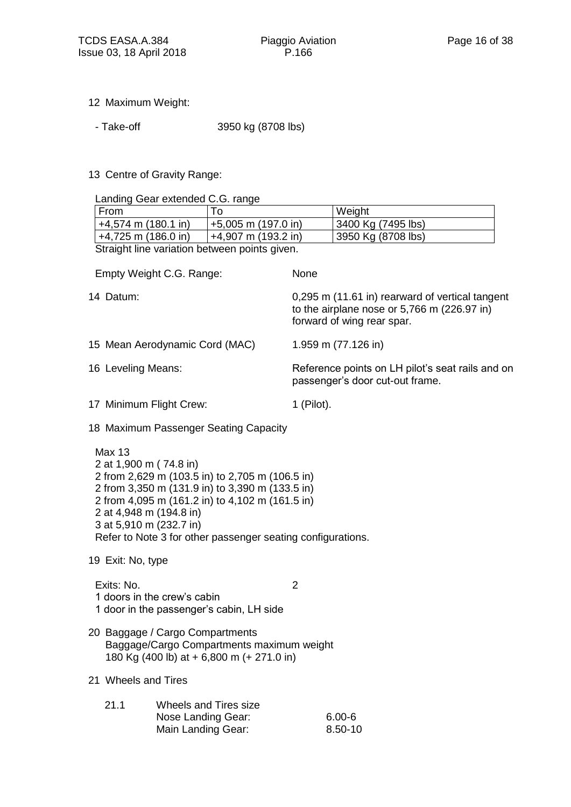- 12 Maximum Weight:
	- Take-off 3950 kg (8708 lbs)
- 13 Centre of Gravity Range:

Landing Gear extended C.G. range

|                     | Lanung Ocar extended O.O. Tange                                              |                                                                                                                                                                                                                      |                                                                                                                              |                     |  |
|---------------------|------------------------------------------------------------------------------|----------------------------------------------------------------------------------------------------------------------------------------------------------------------------------------------------------------------|------------------------------------------------------------------------------------------------------------------------------|---------------------|--|
| From                |                                                                              | To                                                                                                                                                                                                                   |                                                                                                                              | Weight              |  |
|                     | $+4,574$ m (180.1 in)                                                        | +5,005 m (197.0 in)                                                                                                                                                                                                  |                                                                                                                              | 3400 Kg (7495 lbs)  |  |
|                     | $+4,725$ m (186.0 in)                                                        | $+4,907$ m (193.2 in)                                                                                                                                                                                                |                                                                                                                              | 3950 Kg (8708 lbs)  |  |
|                     |                                                                              | Straight line variation between points given.                                                                                                                                                                        |                                                                                                                              |                     |  |
|                     | Empty Weight C.G. Range:                                                     |                                                                                                                                                                                                                      | None                                                                                                                         |                     |  |
| 14 Datum:           |                                                                              |                                                                                                                                                                                                                      | 0,295 m (11.61 in) rearward of vertical tangent<br>to the airplane nose or 5,766 m (226.97 in)<br>forward of wing rear spar. |                     |  |
|                     | 15 Mean Aerodynamic Cord (MAC)                                               |                                                                                                                                                                                                                      |                                                                                                                              | 1.959 m (77.126 in) |  |
| 16 Leveling Means:  |                                                                              |                                                                                                                                                                                                                      | Reference points on LH pilot's seat rails and on<br>passenger's door cut-out frame.                                          |                     |  |
|                     | 17 Minimum Flight Crew:                                                      |                                                                                                                                                                                                                      | $1$ (Pilot).                                                                                                                 |                     |  |
|                     |                                                                              | 18 Maximum Passenger Seating Capacity                                                                                                                                                                                |                                                                                                                              |                     |  |
| <b>Max 13</b>       | 2 at 1,900 m (74.8 in)<br>2 at 4,948 m (194.8 in)<br>3 at 5,910 m (232.7 in) | 2 from 2,629 m (103.5 in) to 2,705 m (106.5 in)<br>2 from 3,350 m (131.9 in) to 3,390 m (133.5 in)<br>2 from 4,095 m (161.2 in) to 4,102 m (161.5 in)<br>Refer to Note 3 for other passenger seating configurations. |                                                                                                                              |                     |  |
| 19 Exit: No, type   |                                                                              |                                                                                                                                                                                                                      |                                                                                                                              |                     |  |
| Exits: No.          | 1 doors in the crew's cabin                                                  | 1 door in the passenger's cabin, LH side                                                                                                                                                                             | $\overline{2}$                                                                                                               |                     |  |
|                     | 20 Baggage / Cargo Compartments                                              | Baggage/Cargo Compartments maximum weight<br>180 Kg (400 lb) at + 6,800 m (+ 271.0 in)                                                                                                                               |                                                                                                                              |                     |  |
| 21 Wheels and Tires |                                                                              |                                                                                                                                                                                                                      |                                                                                                                              |                     |  |
| 21.1                |                                                                              | Wheels and Tires size<br>Nose Landing Gear:                                                                                                                                                                          |                                                                                                                              | $6.00 - 6$          |  |

Main Landing Gear: 8.50-10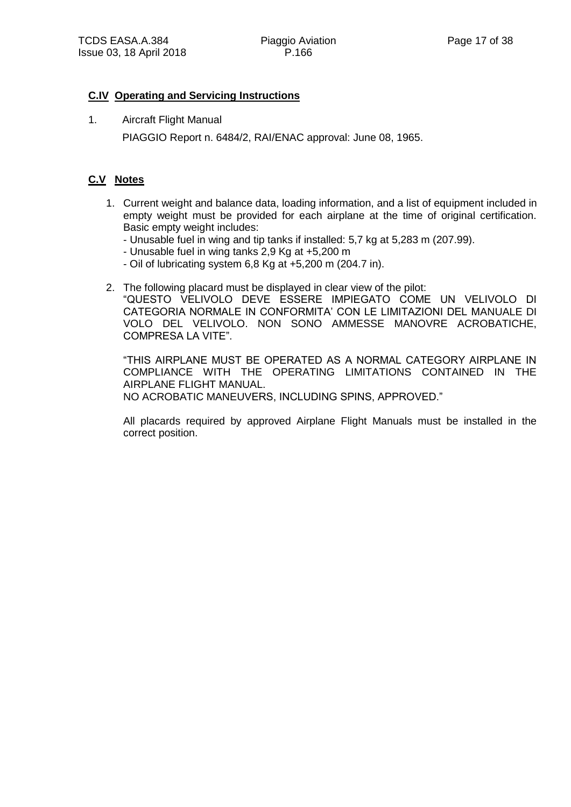#### **C.IV Operating and Servicing Instructions**

1. Aircraft Flight Manual PIAGGIO Report n. 6484/2, RAI/ENAC approval: June 08, 1965.

#### **C.V Notes**

- 1. Current weight and balance data, loading information, and a list of equipment included in empty weight must be provided for each airplane at the time of original certification. Basic empty weight includes:
	- Unusable fuel in wing and tip tanks if installed: 5,7 kg at 5,283 m (207.99).
	- Unusable fuel in wing tanks 2,9 Kg at +5,200 m
	- Oil of lubricating system 6,8 Kg at +5,200 m (204.7 in).
- 2. The following placard must be displayed in clear view of the pilot:
	- "QUESTO VELIVOLO DEVE ESSERE IMPIEGATO COME UN VELIVOLO DI CATEGORIA NORMALE IN CONFORMITA' CON LE LIMITAZIONI DEL MANUALE DI VOLO DEL VELIVOLO. NON SONO AMMESSE MANOVRE ACROBATICHE, COMPRESA LA VITE".

"THIS AIRPLANE MUST BE OPERATED AS A NORMAL CATEGORY AIRPLANE IN COMPLIANCE WITH THE OPERATING LIMITATIONS CONTAINED IN THE AIRPLANE FLIGHT MANUAL. NO ACROBATIC MANEUVERS, INCLUDING SPINS, APPROVED."

All placards required by approved Airplane Flight Manuals must be installed in the correct position.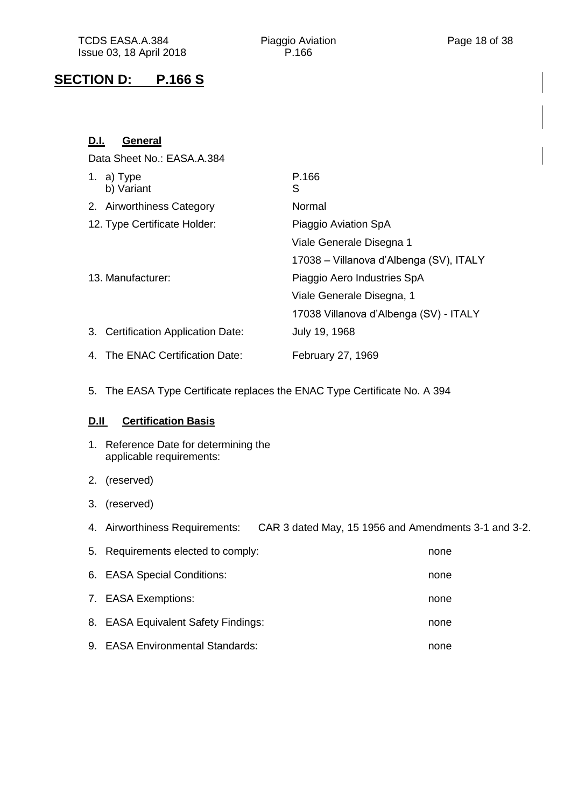## **SECTION D: P.166 S**

| D.I. | General                            |                                         |
|------|------------------------------------|-----------------------------------------|
|      | Data Sheet No.: EASA.A.384         |                                         |
|      | 1. a) Type<br>b) Variant           | P.166<br>S                              |
|      | 2. Airworthiness Category          | Normal                                  |
|      | 12. Type Certificate Holder:       | Piaggio Aviation SpA                    |
|      |                                    | Viale Generale Disegna 1                |
|      |                                    | 17038 – Villanova d'Albenga (SV), ITALY |
|      | 13. Manufacturer:                  | Piaggio Aero Industries SpA             |
|      |                                    | Viale Generale Disegna, 1               |
|      |                                    | 17038 Villanova d'Albenga (SV) - ITALY  |
|      | 3. Certification Application Date: | July 19, 1968                           |
|      | 4. The ENAC Certification Date:    | February 27, 1969                       |

5. The EASA Type Certificate replaces the ENAC Type Certificate No. A 394

#### **D.II Certification Basis**

- 1. Reference Date for determining the applicable requirements:
- 2. (reserved)
- 3. (reserved)
- 4. Airworthiness Requirements: CAR 3 dated May, 15 1956 and Amendments 3-1 and 3-2.

| 5. Requirements elected to comply:  | none |
|-------------------------------------|------|
| 6. EASA Special Conditions:         | none |
| 7. EASA Exemptions:                 | none |
| 8. EASA Equivalent Safety Findings: | none |
| 9. EASA Environmental Standards:    | none |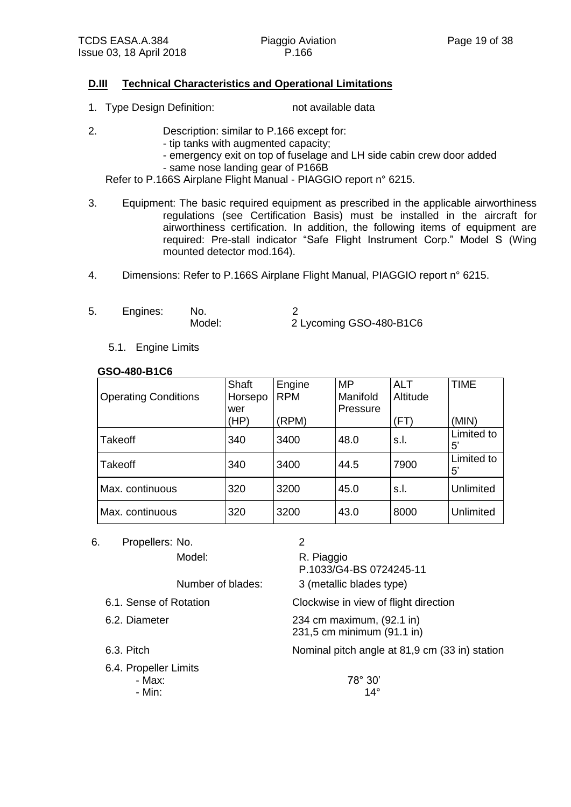#### **D.III Technical Characteristics and Operational Limitations**

- 1. Type Design Definition: not available data
- 2. Description: similar to P.166 except for:
	- tip tanks with augmented capacity;
	- emergency exit on top of fuselage and LH side cabin crew door added
	- same nose landing gear of P166B

Refer to P.166S Airplane Flight Manual - PIAGGIO report n° 6215.

- 3. Equipment: The basic required equipment as prescribed in the applicable airworthiness regulations (see Certification Basis) must be installed in the aircraft for airworthiness certification. In addition, the following items of equipment are required: Pre-stall indicator "Safe Flight Instrument Corp." Model S (Wing mounted detector mod.164).
- 4. Dimensions: Refer to P.166S Airplane Flight Manual, PIAGGIO report n° 6215.

| 5. | Engines: | No.    |                         |
|----|----------|--------|-------------------------|
|    |          | Model: | 2 Lycoming GSO-480-B1C6 |

5.1. Engine Limits

#### **GSO-480-B1C6**

| <b>Operating Conditions</b> | Shaft<br>Horsepo | Engine<br><b>RPM</b> | MP<br>Manifold | <b>ALT</b><br>Altitude | <b>TIME</b>               |
|-----------------------------|------------------|----------------------|----------------|------------------------|---------------------------|
|                             | wer<br>(HP)      | (RPM)                | Pressure       | ΈT)                    | (MIN)                     |
| <b>Takeoff</b>              | 340              | 3400                 | 48.0           | s.l.                   | Limited to<br>$5^{\circ}$ |
| <b>Takeoff</b>              | 340              | 3400                 | 44.5           | 7900                   | Limited to<br>$5^{\circ}$ |
| Max. continuous             | 320              | 3200                 | 45.0           | s.l.                   | Unlimited                 |
| Max. continuous             | 320              | 3200                 | 43.0           | 8000                   | Unlimited                 |

6. Propellers: No. 2

Model: R. Piaggio

P.1033/G4-BS 0724245-11

Number of blades: 3 (metallic blades type)

6.1. Sense of Rotation Clockwise in view of flight direction

6.2. Diameter 234 cm maximum, (92.1 in) 231,5 cm minimum (91.1 in)

6.3. Pitch Nominal pitch angle at 81,9 cm (33 in) station

6.4. Propeller Limits

- Max: 78° 30' - Min:  $14^{\circ}$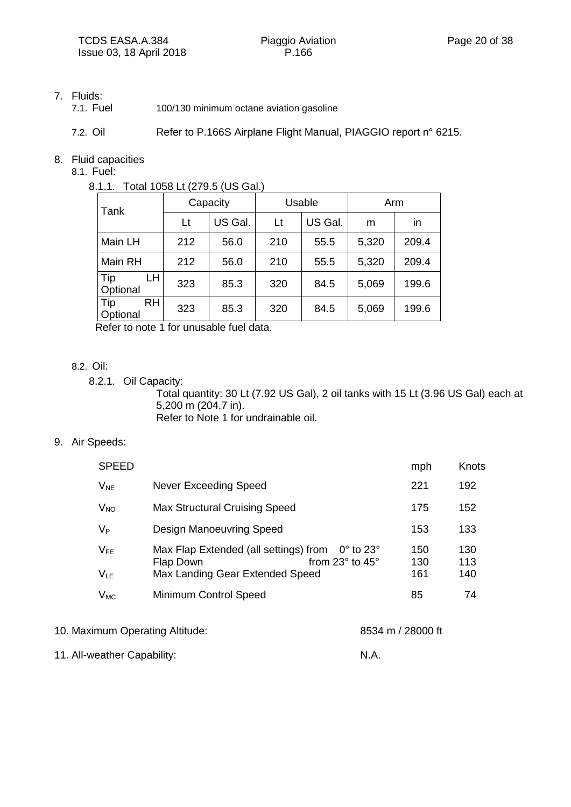#### 7. Fluids:

7.1. Fuel 100/130 minimum octane aviation gasoline

7.2. Oil Refer to P.166S Airplane Flight Manual, PIAGGIO report n° 6215.

#### 8. Fluid capacities

8.1. Fuel:

#### 8.1.1. Total 1058 Lt (279.5 (US Gal.)

| Tank                         | Capacity |         | Usable |         | Arm   |       |
|------------------------------|----------|---------|--------|---------|-------|-------|
|                              | Lt       | US Gal. | Lt     | US Gal. | m     | in    |
| Main LH                      | 212      | 56.0    | 210    | 55.5    | 5,320 | 209.4 |
| Main RH                      | 212      | 56.0    | 210    | 55.5    | 5,320 | 209.4 |
| Tip<br>LН<br>Optional        | 323      | 85.3    | 320    | 84.5    | 5,069 | 199.6 |
| Tip<br><b>RH</b><br>Optional | 323      | 85.3    | 320    | 84.5    | 5,069 | 199.6 |

Refer to note 1 for unusable fuel data.

#### 8.2. Oil:

8.2.1. Oil Capacity:

Total quantity: 30 Lt (7.92 US Gal), 2 oil tanks with 15 Lt (3.96 US Gal) each at 5,200 m (204.7 in). Refer to Note 1 for undrainable oil.

#### 9. Air Speeds:

| <b>SPEED</b>          |                                                                                                                                                        | mph               | Knots             |
|-----------------------|--------------------------------------------------------------------------------------------------------------------------------------------------------|-------------------|-------------------|
| $V_{NE}$              | Never Exceeding Speed                                                                                                                                  | 221               | 192               |
| <b>V<sub>NO</sub></b> | Max Structural Cruising Speed                                                                                                                          | 175               | 152               |
| $V_P$                 | <b>Design Manoeuvring Speed</b>                                                                                                                        | 153               | 133               |
| $V_{FE}$<br>$V_{LE}$  | Max Flap Extended (all settings) from<br>$0^{\circ}$ to 23 $^{\circ}$<br>from $23^\circ$ to $45^\circ$<br>Flap Down<br>Max Landing Gear Extended Speed | 150<br>130<br>161 | 130<br>113<br>140 |
| $V_{MC}$              | <b>Minimum Control Speed</b>                                                                                                                           | 85                | 74                |
|                       |                                                                                                                                                        |                   |                   |

10. Maximum Operating Altitude: 8534 m / 28000 ft

11. All-weather Capability: N.A.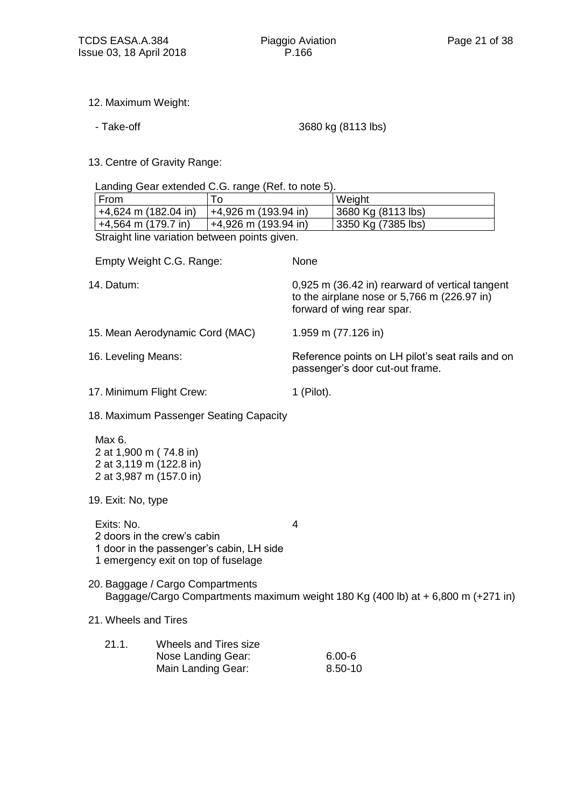- 12. Maximum Weight:
	-

- Take-off 3680 kg (8113 lbs)

13. Centre of Gravity Range:

Landing Gear extended C.G. range (Ref. to note 5).

| From                                          |                        | Weight             |  |  |  |  |
|-----------------------------------------------|------------------------|--------------------|--|--|--|--|
| $+4,624$ m (182.04 in)                        | $+4,926$ m (193.94 in) | 3680 Kg (8113 lbs) |  |  |  |  |
| $+4,564$ m (179.7 in)                         | +4,926 m (193.94 in)   | 3350 Kg (7385 lbs) |  |  |  |  |
| Straight line variation between points given. |                        |                    |  |  |  |  |

|                                                                                                              | Empty Weight C.G. Range:                                                                                       | None                                                                                                                         |  |  |
|--------------------------------------------------------------------------------------------------------------|----------------------------------------------------------------------------------------------------------------|------------------------------------------------------------------------------------------------------------------------------|--|--|
| 14. Datum:                                                                                                   |                                                                                                                | 0,925 m (36.42 in) rearward of vertical tangent<br>to the airplane nose or 5,766 m (226.97 in)<br>forward of wing rear spar. |  |  |
|                                                                                                              | 15. Mean Aerodynamic Cord (MAC)                                                                                | 1.959 m (77.126 in)                                                                                                          |  |  |
| 16. Leveling Means:                                                                                          |                                                                                                                | Reference points on LH pilot's seat rails and on<br>passenger's door cut-out frame.                                          |  |  |
| 17. Minimum Flight Crew:                                                                                     |                                                                                                                | $1$ (Pilot).                                                                                                                 |  |  |
|                                                                                                              | 18. Maximum Passenger Seating Capacity                                                                         |                                                                                                                              |  |  |
| Max 6.<br>2 at 1,900 m (74.8 in)<br>2 at 3,119 m (122.8 in)<br>2 at 3,987 m (157.0 in)<br>19. Exit: No, type |                                                                                                                |                                                                                                                              |  |  |
| Exits: No.                                                                                                   | 2 doors in the crew's cabin<br>1 door in the passenger's cabin, LH side<br>1 emergency exit on top of fuselage | $\overline{4}$                                                                                                               |  |  |
|                                                                                                              | 20. Baggage / Cargo Compartments                                                                               | Baggage/Cargo Compartments maximum weight 180 Kg (400 lb) at + 6,800 m (+271 in)                                             |  |  |
| 21. Wheels and Tires                                                                                         |                                                                                                                |                                                                                                                              |  |  |
| 21.1.                                                                                                        | Wheels and Tires size<br>Nose Landing Gear:<br>Main Landing Gear:                                              | $6.00 - 6$<br>8.50-10                                                                                                        |  |  |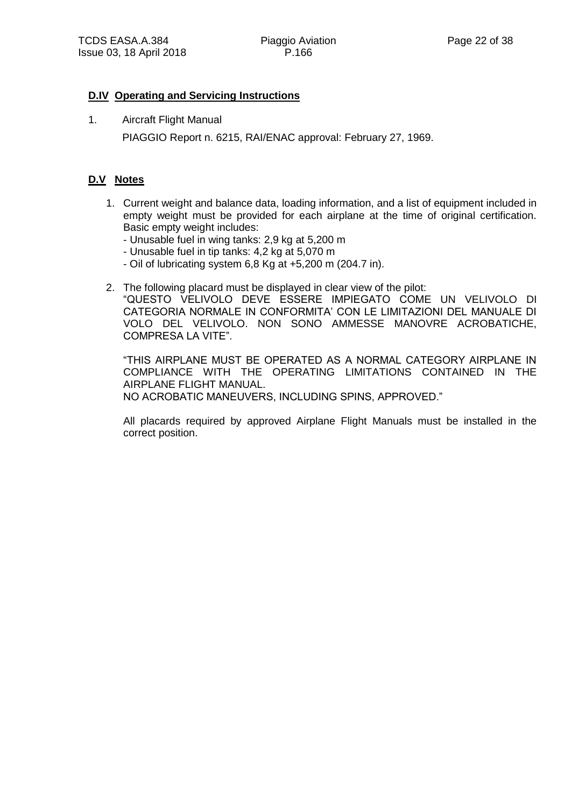#### **D.IV Operating and Servicing Instructions**

1. Aircraft Flight Manual PIAGGIO Report n. 6215, RAI/ENAC approval: February 27, 1969.

#### **D.V Notes**

- 1. Current weight and balance data, loading information, and a list of equipment included in empty weight must be provided for each airplane at the time of original certification. Basic empty weight includes:
	- Unusable fuel in wing tanks: 2,9 kg at 5,200 m
	- Unusable fuel in tip tanks: 4,2 kg at 5,070 m
	- Oil of lubricating system 6,8 Kg at +5,200 m (204.7 in).
- 2. The following placard must be displayed in clear view of the pilot:

"QUESTO VELIVOLO DEVE ESSERE IMPIEGATO COME UN VELIVOLO DI CATEGORIA NORMALE IN CONFORMITA' CON LE LIMITAZIONI DEL MANUALE DI VOLO DEL VELIVOLO. NON SONO AMMESSE MANOVRE ACROBATICHE, COMPRESA LA VITE".

"THIS AIRPLANE MUST BE OPERATED AS A NORMAL CATEGORY AIRPLANE IN COMPLIANCE WITH THE OPERATING LIMITATIONS CONTAINED IN THE AIRPLANE FLIGHT MANUAL. NO ACROBATIC MANEUVERS, INCLUDING SPINS, APPROVED."

All placards required by approved Airplane Flight Manuals must be installed in the correct position.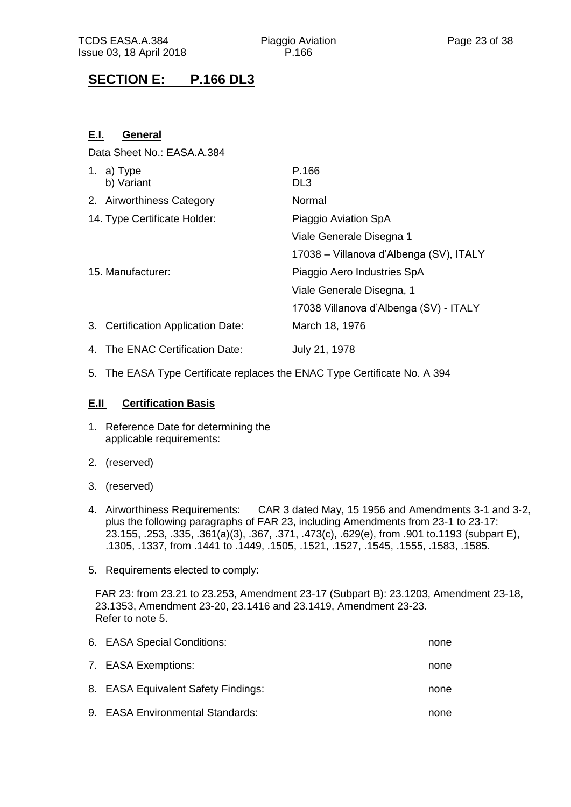# **SECTION E: P.166 DL3**

### **E.I. General**

Data Sheet No.: EASA.A.384

| 1. a) $Type$<br>b) Variant         | P.166<br>DL <sub>3</sub>                |
|------------------------------------|-----------------------------------------|
| 2. Airworthiness Category          | Normal                                  |
| 14. Type Certificate Holder:       | Piaggio Aviation SpA                    |
|                                    | Viale Generale Disegna 1                |
|                                    | 17038 – Villanova d'Albenga (SV), ITALY |
| 15. Manufacturer:                  | Piaggio Aero Industries SpA             |
|                                    | Viale Generale Disegna, 1               |
|                                    | 17038 Villanova d'Albenga (SV) - ITALY  |
| 3. Certification Application Date: | March 18, 1976                          |
| 4. The ENAC Certification Date:    | July 21, 1978                           |

5. The EASA Type Certificate replaces the ENAC Type Certificate No. A 394

#### **E.II Certification Basis**

- 1. Reference Date for determining the applicable requirements:
- 2. (reserved)
- 3. (reserved)
- 4. Airworthiness Requirements: CAR 3 dated May, 15 1956 and Amendments 3-1 and 3-2, plus the following paragraphs of FAR 23, including Amendments from 23-1 to 23-17: 23.155, .253, .335, .361(a)(3), .367, .371, .473(c), .629(e), from .901 to.1193 (subpart E), .1305, .1337, from .1441 to .1449, .1505, .1521, .1527, .1545, .1555, .1583, .1585.
- 5. Requirements elected to comply:

FAR 23: from 23.21 to 23.253, Amendment 23-17 (Subpart B): 23.1203, Amendment 23-18, 23.1353, Amendment 23-20, 23.1416 and 23.1419, Amendment 23-23. Refer to note 5.

| 6. EASA Special Conditions:         | none |
|-------------------------------------|------|
| 7. EASA Exemptions:                 | none |
| 8. EASA Equivalent Safety Findings: | none |
| 9. EASA Environmental Standards:    | none |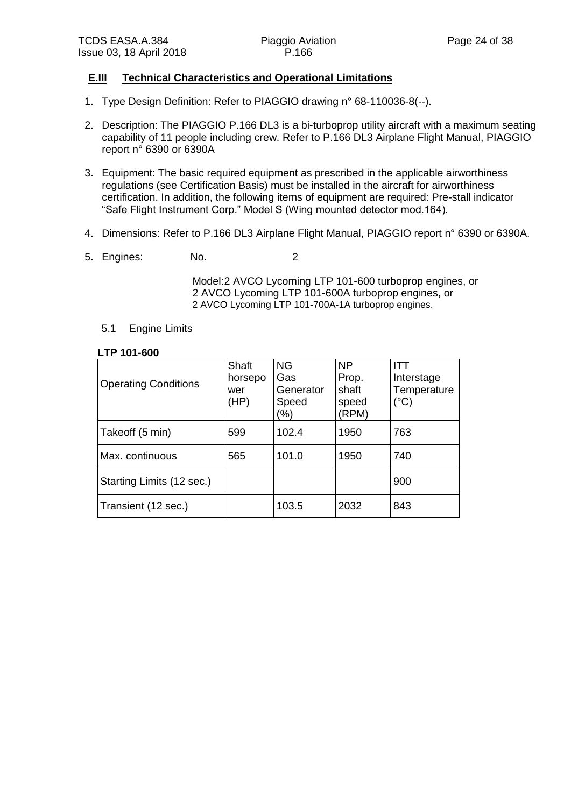#### **E.III Technical Characteristics and Operational Limitations**

- 1. Type Design Definition: Refer to PIAGGIO drawing n° 68-110036-8(--).
- 2. Description: The PIAGGIO P.166 DL3 is a bi-turboprop utility aircraft with a maximum seating capability of 11 people including crew. Refer to P.166 DL3 Airplane Flight Manual, PIAGGIO report n° 6390 or 6390A
- 3. Equipment: The basic required equipment as prescribed in the applicable airworthiness regulations (see Certification Basis) must be installed in the aircraft for airworthiness certification. In addition, the following items of equipment are required: Pre-stall indicator "Safe Flight Instrument Corp." Model S (Wing mounted detector mod.164).
- 4. Dimensions: Refer to P.166 DL3 Airplane Flight Manual, PIAGGIO report n° 6390 or 6390A.
- 5. Engines: No. 2

Model:2 AVCO Lycoming LTP 101-600 turboprop engines, or 2 AVCO Lycoming LTP 101-600A turboprop engines, or 2 AVCO Lycoming LTP 101-700A-1A turboprop engines.

5.1 Engine Limits

#### **LTP 101-600**

| <b>Operating Conditions</b> | Shaft<br>horsepo<br>wer<br>(HP) | <b>NG</b><br>Gas<br>Generator<br>Speed<br>(%) | <b>NP</b><br>Prop.<br>shaft<br>speed<br>(RPM) | דוו<br>Interstage<br>Temperature<br>$(^{\circ}C)$ |
|-----------------------------|---------------------------------|-----------------------------------------------|-----------------------------------------------|---------------------------------------------------|
| Takeoff (5 min)             | 599                             | 102.4                                         | 1950                                          | 763                                               |
| Max. continuous             | 565                             | 101.0                                         | 1950                                          | 740                                               |
| Starting Limits (12 sec.)   |                                 |                                               |                                               | 900                                               |
| Transient (12 sec.)         |                                 | 103.5                                         | 2032                                          | 843                                               |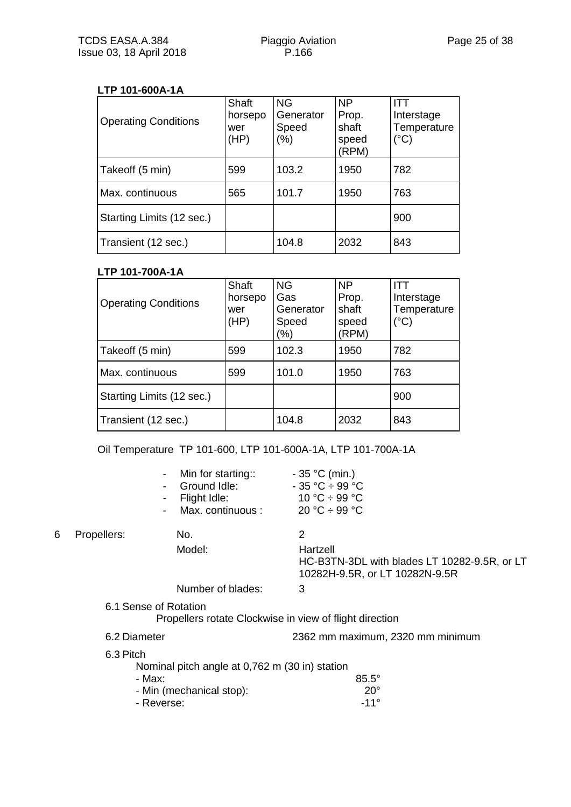#### **LTP 101-600A-1A**

| <b>Operating Conditions</b> | Shaft<br>horsepo<br>wer<br>(HP) | <b>NG</b><br>Generator<br>Speed<br>$(\%)$ | <b>NP</b><br>Prop.<br>shaft<br>speed<br>(RPM) | ITT<br>Interstage<br>Temperature<br>$(^{\circ}C)$ |
|-----------------------------|---------------------------------|-------------------------------------------|-----------------------------------------------|---------------------------------------------------|
| Takeoff (5 min)             | 599                             | 103.2                                     | 1950                                          | 782                                               |
| Max. continuous             | 565                             | 101.7                                     | 1950                                          | 763                                               |
| Starting Limits (12 sec.)   |                                 |                                           |                                               | 900                                               |
| Transient (12 sec.)         |                                 | 104.8                                     | 2032                                          | 843                                               |

#### **LTP 101-700A-1A**

| <b>Operating Conditions</b> | Shaft<br>horsepo<br>wer<br>(HP) | <b>NG</b><br>Gas<br>Generator<br>Speed<br>$(\% )$ | <b>NP</b><br>Prop.<br>shaft<br>speed<br>(RPM) | Interstage<br>Temperature<br>$(^{\circ}C)$ |
|-----------------------------|---------------------------------|---------------------------------------------------|-----------------------------------------------|--------------------------------------------|
| Takeoff (5 min)             | 599                             | 102.3                                             | 1950                                          | 782                                        |
| Max. continuous             | 599                             | 101.0                                             | 1950                                          | 763                                        |
| Starting Limits (12 sec.)   |                                 |                                                   |                                               | 900                                        |
| Transient (12 sec.)         |                                 | 104.8                                             | 2032                                          | 843                                        |

Oil Temperature TP 101-600, LTP 101-600A-1A, LTP 101-700A-1A

|   |              | Min for starting::<br>Ground Idle:<br>Flight Idle:<br>-<br>Max. continuous :<br>$\overline{\phantom{a}}$ | $-35 °C$ (min.)<br>$-35 °C \div 99 °C$<br>10 °C $\div$ 99 °C<br>20 °C $\div$ 99 °C         |
|---|--------------|----------------------------------------------------------------------------------------------------------|--------------------------------------------------------------------------------------------|
| 6 | Propellers:  | No.                                                                                                      | 2                                                                                          |
|   |              | Model:                                                                                                   | Hartzell<br>HC-B3TN-3DL with blades LT 10282-9.5R, or LT<br>10282H-9.5R, or LT 10282N-9.5R |
|   |              | Number of blades:                                                                                        | 3                                                                                          |
|   |              | 6.1 Sense of Rotation                                                                                    | Propellers rotate Clockwise in view of flight direction                                    |
|   | 6.2 Diameter |                                                                                                          | 2362 mm maximum, 2320 mm minimum                                                           |
|   | 6.3 Pitch    | Nominal pitch angle at 0,762 m (30 in) station                                                           |                                                                                            |
|   |              | - Max:                                                                                                   | $85.5^\circ$                                                                               |
|   |              | - Min (mechanical stop):                                                                                 | $20^{\circ}$                                                                               |
|   |              | - Reverse:                                                                                               | $-11^{\circ}$                                                                              |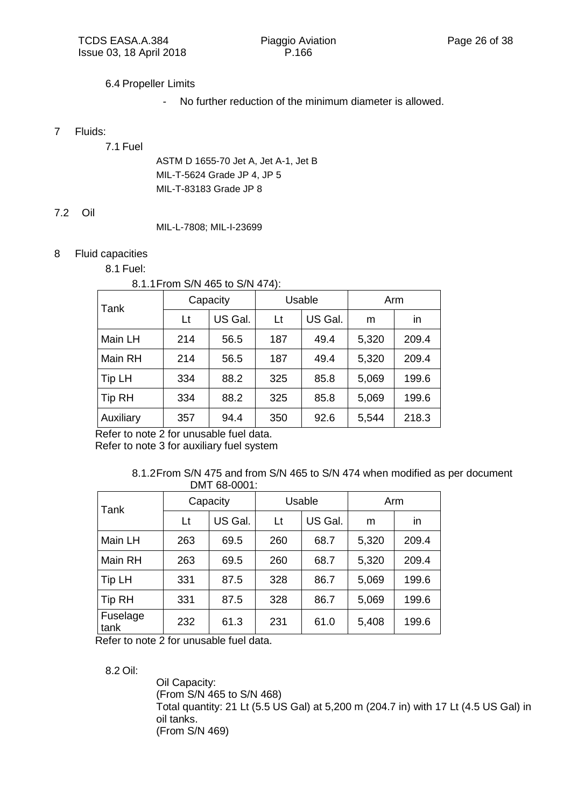#### 6.4 Propeller Limits

*-* No further reduction of the minimum diameter is allowed.

#### 7 Fluids:

7.1 Fuel

ASTM D 1655-70 Jet A, Jet A-1, Jet B MIL-T-5624 Grade JP 4, JP 5 MIL-T-83183 Grade JP 8

#### 7.2 Oil

MIL-L-7808; MIL-I-23699

#### 8 Fluid capacities

8.1 Fuel:

#### 8.1.1From S/N 465 to S/N 474):

| Tank       | Capacity |         | Usable |         | Arm   |       |
|------------|----------|---------|--------|---------|-------|-------|
|            | Lt       | US Gal. | Lt     | US Gal. | m     | in    |
| Main LH    | 214      | 56.5    | 187    | 49.4    | 5,320 | 209.4 |
| Main RH    | 214      | 56.5    | 187    | 49.4    | 5,320 | 209.4 |
| Tip LH     | 334      | 88.2    | 325    | 85.8    | 5,069 | 199.6 |
| $ $ Tip RH | 334      | 88.2    | 325    | 85.8    | 5,069 | 199.6 |
| Auxiliary  | 357      | 94.4    | 350    | 92.6    | 5,544 | 218.3 |

Refer to note 2 for unusable fuel data.

Refer to note 3 for auxiliary fuel system

<sup>8.1.2</sup>From S/N 475 and from S/N 465 to S/N 474 when modified as per document DMT 68-0001:

| Tank             | Capacity |         | Usable |         | Arm   |       |
|------------------|----------|---------|--------|---------|-------|-------|
|                  | Lt       | US Gal. | Lt     | US Gal. | m     | in    |
| Main LH          | 263      | 69.5    | 260    | 68.7    | 5,320 | 209.4 |
| Main RH          | 263      | 69.5    | 260    | 68.7    | 5,320 | 209.4 |
| Tip LH           | 331      | 87.5    | 328    | 86.7    | 5,069 | 199.6 |
| Tip RH           | 331      | 87.5    | 328    | 86.7    | 5,069 | 199.6 |
| Fuselage<br>tank | 232      | 61.3    | 231    | 61.0    | 5,408 | 199.6 |

Refer to note 2 for unusable fuel data.

8.2 Oil:

Oil Capacity: (From S/N 465 to S/N 468) Total quantity: 21 Lt (5.5 US Gal) at 5,200 m (204.7 in) with 17 Lt (4.5 US Gal) in oil tanks. (From S/N 469)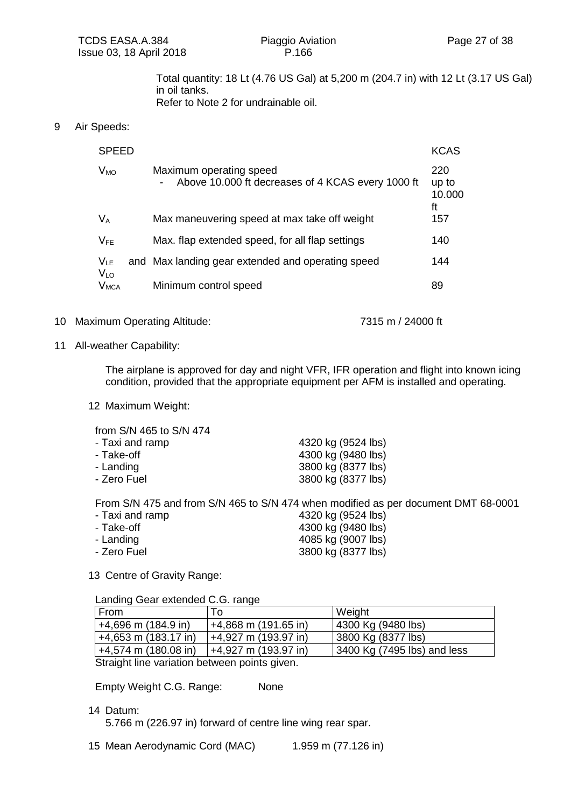Total quantity: 18 Lt (4.76 US Gal) at 5,200 m (204.7 in) with 12 Lt (3.17 US Gal) in oil tanks.

Refer to Note 2 for undrainable oil.

#### 9 Air Speeds:

| <b>SPEED</b>                 |                                                                                                          | <b>KCAS</b>                  |
|------------------------------|----------------------------------------------------------------------------------------------------------|------------------------------|
| $V_{MO}$                     | Maximum operating speed<br>Above 10.000 ft decreases of 4 KCAS every 1000 ft<br>$\overline{\phantom{a}}$ | 220<br>up to<br>10.000<br>ft |
| $V_A$                        | Max maneuvering speed at max take off weight                                                             | 157                          |
| $V_{FE}$                     | Max. flap extended speed, for all flap settings                                                          | 140                          |
| $V_{LE}$                     | and Max landing gear extended and operating speed                                                        | 144                          |
| V <sub>LO</sub><br>$V_{MCA}$ | Minimum control speed                                                                                    | 89                           |

#### 10 Maximum Operating Altitude: 7315 m / 24000 ft

#### 11 All-weather Capability:

The airplane is approved for day and night VFR, IFR operation and flight into known icing condition, provided that the appropriate equipment per AFM is installed and operating.

12 Maximum Weight:

from S/N 465 to S/N 474

| - Taxi and ramp | 4320 kg (9524 lbs) |
|-----------------|--------------------|
| - Take-off      | 4300 kg (9480 lbs) |
| - Landing       | 3800 kg (8377 lbs) |
| - Zero Fuel     | 3800 kg (8377 lbs) |

From S/N 475 and from S/N 465 to S/N 474 when modified as per document DMT 68-0001

| - Taxi and ramp | 4320 kg (9524 lbs) |
|-----------------|--------------------|
| - Take-off      | 4300 kg (9480 lbs) |
| - Landing       | 4085 kg (9007 lbs) |
| - Zero Fuel     | 3800 kg (8377 lbs) |

13 Centre of Gravity Range:

Landing Gear extended C.G. range

| From                                         | To                     | Weight                      |  |  |  |
|----------------------------------------------|------------------------|-----------------------------|--|--|--|
| $+4,696$ m (184.9 in)                        | $+4,868$ m (191.65 in) | 4300 Kg (9480 lbs)          |  |  |  |
| $+4,653$ m (183.17 in)                       | 44,927 m (193.97 in)   | 3800 Kg (8377 lbs)          |  |  |  |
| $+4,574$ m (180.08 in)                       | +4,927 m (193.97 in)   | 3400 Kg (7495 lbs) and less |  |  |  |
| Straight line variation between points given |                        |                             |  |  |  |

Straight line variation between points given.

Empty Weight C.G. Range: None

14 Datum:

5.766 m (226.97 in) forward of centre line wing rear spar.

15 Mean Aerodynamic Cord (MAC) 1.959 m (77.126 in)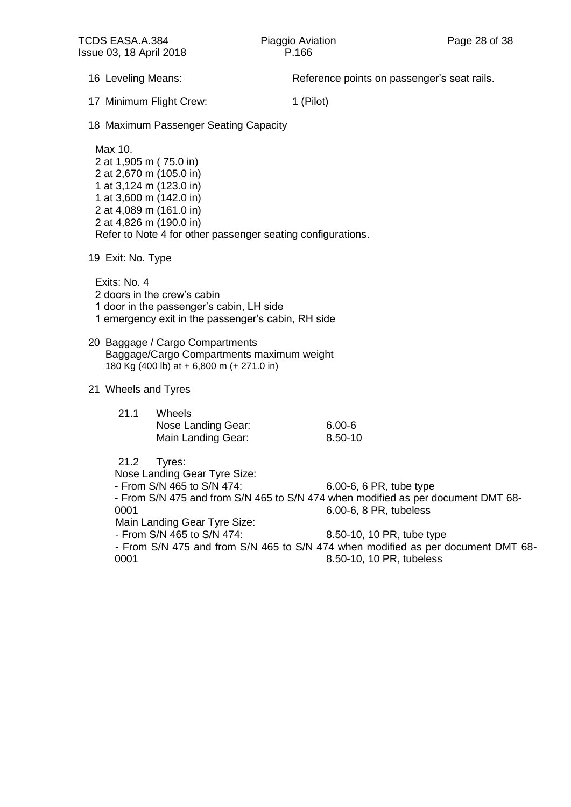16 Leveling Means: The Reference points on passenger's seat rails.

17 Minimum Flight Crew: 1 (Pilot)

18 Maximum Passenger Seating Capacity

Max 10. 2 at 1,905 m ( 75.0 in) 2 at 2,670 m (105.0 in) 1 at 3,124 m (123.0 in) 1 at 3,600 m (142.0 in) 2 at 4,089 m (161.0 in) 2 at 4,826 m (190.0 in) Refer to Note 4 for other passenger seating configurations.

19 Exit: No. Type

Exits: No. 4 2 doors in the crew's cabin 1 door in the passenger's cabin, LH side 1 emergency exit in the passenger's cabin, RH side

20 Baggage / Cargo Compartments Baggage/Cargo Compartments maximum weight 180 Kg (400 lb) at + 6,800 m (+ 271.0 in)

#### 21 Wheels and Tyres

| 21.1 | <b>Wheels</b>      |            |
|------|--------------------|------------|
|      | Nose Landing Gear: | $6.00 - 6$ |
|      | Main Landing Gear: | 8.50-10    |

21.2 Tyres:

Nose Landing Gear Tyre Size:

- From S/N 465 to S/N 474: 6.00-6, 6 PR, tube type

- From S/N 475 and from S/N 465 to S/N 474 when modified as per document DMT 68- 0001 6.00-6, 8 PR, tubeless

Main Landing Gear Tyre Size:

- From S/N 465 to S/N 474: 8.50-10, 10 PR, tube type

- From S/N 475 and from S/N 465 to S/N 474 when modified as per document DMT 68- 0001 8.50-10, 10 PR, tubeless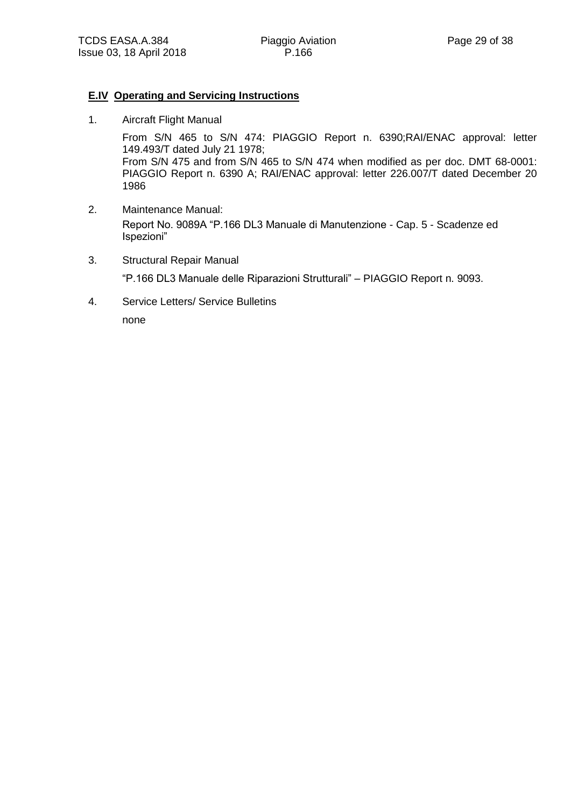#### **E.IV Operating and Servicing Instructions**

1. Aircraft Flight Manual

From S/N 465 to S/N 474: PIAGGIO Report n. 6390;RAI/ENAC approval: letter 149.493/T dated July 21 1978; From S/N 475 and from S/N 465 to S/N 474 when modified as per doc. DMT 68-0001: PIAGGIO Report n. 6390 A; RAI/ENAC approval: letter 226.007/T dated December 20 1986

- 2. Maintenance Manual: Report No. 9089A "P.166 DL3 Manuale di Manutenzione - Cap. 5 - Scadenze ed Ispezioni"
- 3. Structural Repair Manual "P.166 DL3 Manuale delle Riparazioni Strutturali" – PIAGGIO Report n. 9093.
- 4. Service Letters/ Service Bulletins none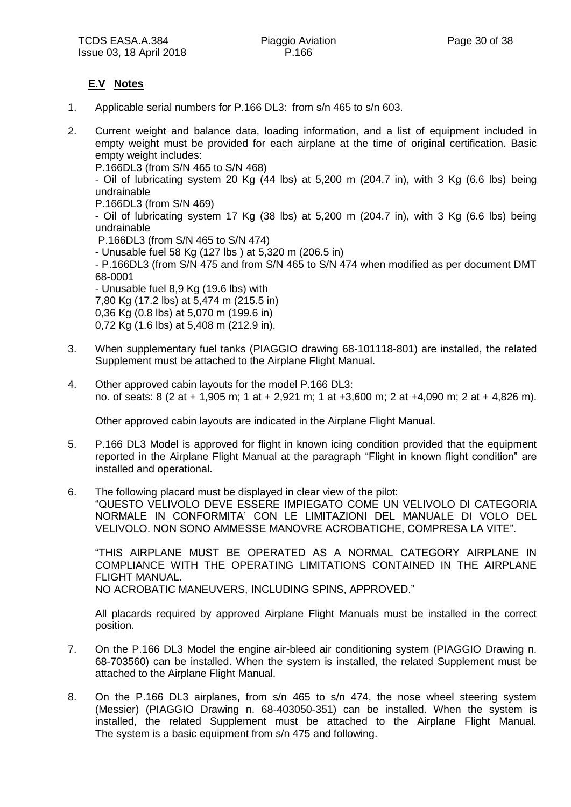## **E.V Notes**

- 1. Applicable serial numbers for P.166 DL3: from s/n 465 to s/n 603.
- 2. Current weight and balance data, loading information, and a list of equipment included in empty weight must be provided for each airplane at the time of original certification. Basic empty weight includes:

P.166DL3 (from S/N 465 to S/N 468)

- Oil of lubricating system 20 Kg (44 lbs) at 5,200 m (204.7 in), with 3 Kg (6.6 lbs) being undrainable

P.166DL3 (from S/N 469)

- Oil of lubricating system 17 Kg (38 lbs) at 5,200 m (204.7 in), with 3 Kg (6.6 lbs) being undrainable

P.166DL3 (from S/N 465 to S/N 474)

- Unusable fuel 58 Kg (127 lbs ) at 5,320 m (206.5 in)

- P.166DL3 (from S/N 475 and from S/N 465 to S/N 474 when modified as per document DMT 68-0001

- Unusable fuel 8,9 Kg (19.6 lbs) with 7,80 Kg (17.2 lbs) at 5,474 m (215.5 in) 0,36 Kg (0.8 lbs) at 5,070 m (199.6 in) 0,72 Kg (1.6 lbs) at 5,408 m (212.9 in).

- 3. When supplementary fuel tanks (PIAGGIO drawing 68-101118-801) are installed, the related Supplement must be attached to the Airplane Flight Manual.
- 4. Other approved cabin layouts for the model P.166 DL3: no. of seats: 8 (2 at + 1,905 m; 1 at + 2,921 m; 1 at +3,600 m; 2 at +4,090 m; 2 at + 4,826 m).

Other approved cabin layouts are indicated in the Airplane Flight Manual.

- 5. P.166 DL3 Model is approved for flight in known icing condition provided that the equipment reported in the Airplane Flight Manual at the paragraph "Flight in known flight condition" are installed and operational.
- 6. The following placard must be displayed in clear view of the pilot: "QUESTO VELIVOLO DEVE ESSERE IMPIEGATO COME UN VELIVOLO DI CATEGORIA NORMALE IN CONFORMITA' CON LE LIMITAZIONI DEL MANUALE DI VOLO DEL VELIVOLO. NON SONO AMMESSE MANOVRE ACROBATICHE, COMPRESA LA VITE".

"THIS AIRPLANE MUST BE OPERATED AS A NORMAL CATEGORY AIRPLANE IN COMPLIANCE WITH THE OPERATING LIMITATIONS CONTAINED IN THE AIRPLANE FLIGHT MANUAL. NO ACROBATIC MANEUVERS, INCLUDING SPINS, APPROVED."

All placards required by approved Airplane Flight Manuals must be installed in the correct position.

- 7. On the P.166 DL3 Model the engine air-bleed air conditioning system (PIAGGIO Drawing n. 68-703560) can be installed. When the system is installed, the related Supplement must be attached to the Airplane Flight Manual.
- 8. On the P.166 DL3 airplanes, from s/n 465 to s/n 474, the nose wheel steering system (Messier) (PIAGGIO Drawing n. 68-403050-351) can be installed. When the system is installed, the related Supplement must be attached to the Airplane Flight Manual. The system is a basic equipment from s/n 475 and following.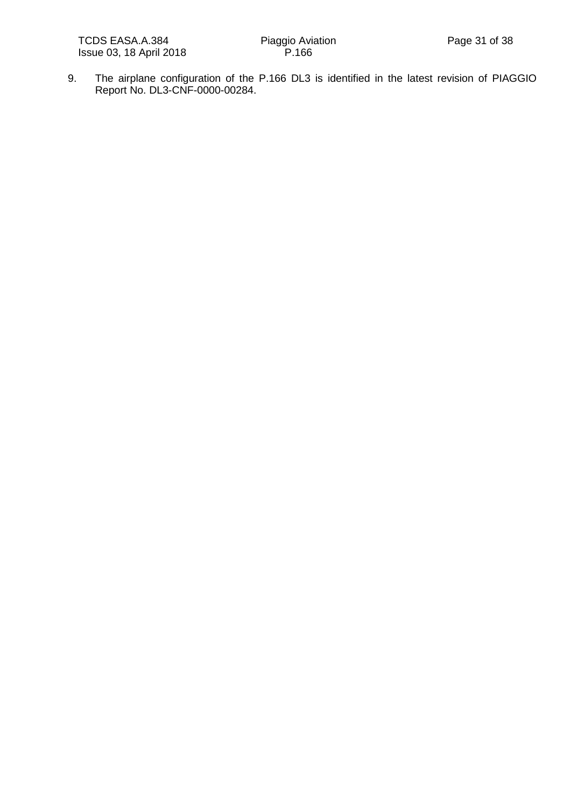9. The airplane configuration of the P.166 DL3 is identified in the latest revision of PIAGGIO Report No. DL3-CNF-0000-00284.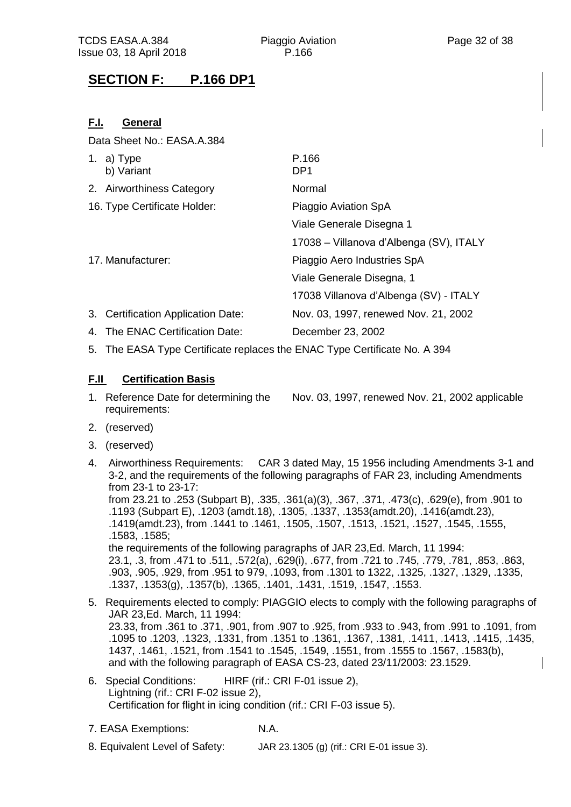# **SECTION F: P.166 DP1**

### **F.I. General**

Data Sheet No.: EASA.A.384

| 1. a) Type<br>b) Variant           | P.166<br>DP <sub>1</sub>                |
|------------------------------------|-----------------------------------------|
| 2. Airworthiness Category          | Normal                                  |
| 16. Type Certificate Holder:       | Piaggio Aviation SpA                    |
|                                    | Viale Generale Disegna 1                |
|                                    | 17038 – Villanova d'Albenga (SV), ITALY |
| 17. Manufacturer:                  | Piaggio Aero Industries SpA             |
|                                    | Viale Generale Disegna, 1               |
|                                    | 17038 Villanova d'Albenga (SV) - ITALY  |
| 3. Certification Application Date: | Nov. 03, 1997, renewed Nov. 21, 2002    |
| 4. The ENAC Certification Date:    | December 23, 2002                       |

5. The EASA Type Certificate replaces the ENAC Type Certificate No. A 394

#### **F.II Certification Basis**

- 1. Reference Date for determining the Nov. 03, 1997, renewed Nov. 21, 2002 applicable requirements:
- 2. (reserved)
- 3. (reserved)
- 4. Airworthiness Requirements: CAR 3 dated May, 15 1956 including Amendments 3-1 and 3-2, and the requirements of the following paragraphs of FAR 23, including Amendments from 23-1 to 23-17: from 23.21 to .253 (Subpart B), .335, .361(a)(3), .367, .371, .473(c), .629(e), from .901 to .1193 (Subpart E), .1203 (amdt.18), .1305, .1337, .1353(amdt.20), .1416(amdt.23), .1419(amdt.23), from .1441 to .1461, .1505, .1507, .1513, .1521, .1527, .1545, .1555, .1583, .1585; the requirements of the following paragraphs of JAR 23,Ed. March, 11 1994: 23.1, .3, from .471 to .511, .572(a), .629(i), .677, from .721 to .745, .779, .781, .853, .863, .903, .905, .929, from .951 to 979, .1093, from .1301 to 1322, .1325, .1327, .1329, .1335, .1337, .1353(g), .1357(b), .1365, .1401, .1431, .1519, .1547, .1553.
- 5. Requirements elected to comply: PIAGGIO elects to comply with the following paragraphs of JAR 23,Ed. March, 11 1994: 23.33, from .361 to .371, .901, from .907 to .925, from .933 to .943, from .991 to .1091, from .1095 to .1203, .1323, .1331, from .1351 to .1361, .1367, .1381, .1411, .1413, .1415, .1435, 1437, .1461, .1521, from .1541 to .1545, .1549, .1551, from .1555 to .1567, .1583(b), and with the following paragraph of EASA CS-23, dated 23/11/2003: 23.1529.
- 6. Special Conditions: HIRF (rif.: CRI F-01 issue 2), Lightning (rif.: CRI F-02 issue 2), Certification for flight in icing condition (rif.: CRI F-03 issue 5).
- 7. EASA Exemptions: N.A.
- 8. Equivalent Level of Safety: JAR 23.1305 (g) (rif.: CRI E-01 issue 3).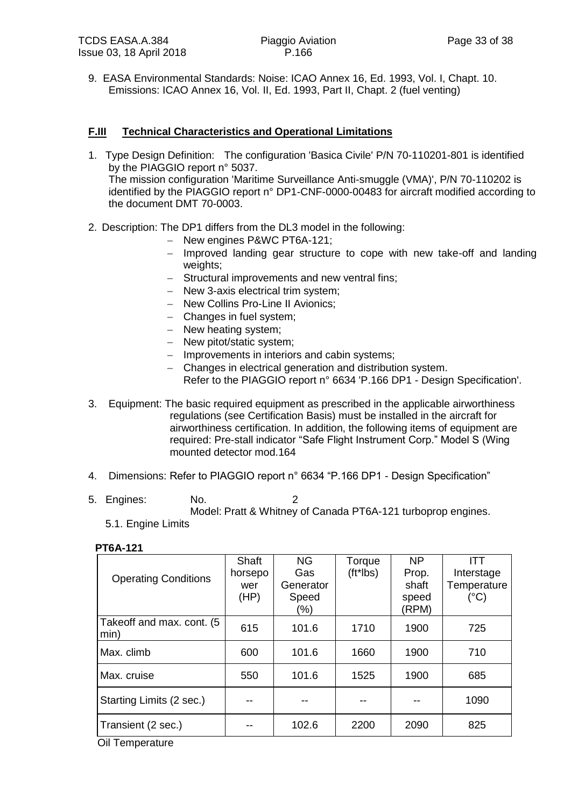9. EASA Environmental Standards: Noise: ICAO Annex 16, Ed. 1993, Vol. I, Chapt. 10. Emissions: ICAO Annex 16, Vol. II, Ed. 1993, Part II, Chapt. 2 (fuel venting)

#### **F.III Technical Characteristics and Operational Limitations**

- 1. Type Design Definition: The configuration 'Basica Civile' P/N 70-110201-801 is identified by the PIAGGIO report n° 5037. The mission configuration 'Maritime Surveillance Anti-smuggle (VMA)', P/N 70-110202 is identified by the PIAGGIO report n° DP1-CNF-0000-00483 for aircraft modified according to the document DMT 70-0003.
- 2. Description: The DP1 differs from the DL3 model in the following:
	- New engines P&WC PT6A-121;
	- $-$  Improved landing gear structure to cope with new take-off and landing weights;
	- Structural improvements and new ventral fins;
	- New 3-axis electrical trim system;
	- New Collins Pro-Line II Avionics;
	- Changes in fuel system;
	- New heating system;
	- New pitot/static system;
	- Improvements in interiors and cabin systems;
	- Changes in electrical generation and distribution system. Refer to the PIAGGIO report n° 6634 'P.166 DP1 - Design Specification'.
- 3. Equipment: The basic required equipment as prescribed in the applicable airworthiness regulations (see Certification Basis) must be installed in the aircraft for airworthiness certification. In addition, the following items of equipment are required: Pre-stall indicator "Safe Flight Instrument Corp." Model S (Wing mounted detector mod.164
- 4. Dimensions: Refer to PIAGGIO report n° 6634 "P.166 DP1 Design Specification"
- 5. Engines: No. 2 Model: Pratt & Whitney of Canada PT6A-121 turboprop engines.
	- 5.1. Engine Limits

| <b>Operating Conditions</b> | Shaft<br>horsepo<br>wer<br>(HP) | <b>NG</b><br>Gas<br>Generator<br>Speed<br>(%) | Torque<br>$(tt*lbs)$ | <b>NP</b><br>Prop.<br>shaft<br>speed<br>(RPM) | ITT<br>Interstage<br>Temperature<br>$(^{\circ}C)$ |
|-----------------------------|---------------------------------|-----------------------------------------------|----------------------|-----------------------------------------------|---------------------------------------------------|
| Takeoff and max. cont. (5   |                                 |                                               |                      |                                               |                                                   |
| min)                        | 615                             | 101.6                                         | 1710                 | 1900                                          | 725                                               |
| Max. climb                  | 600                             | 101.6                                         | 1660                 | 1900                                          | 710                                               |
| Max. cruise                 | 550                             | 101.6                                         | 1525                 | 1900                                          | 685                                               |
| Starting Limits (2 sec.)    |                                 |                                               |                      |                                               | 1090                                              |
| Transient (2 sec.)          |                                 | 102.6                                         | 2200                 | 2090                                          | 825                                               |

#### **PT6A-121**

Oil Temperature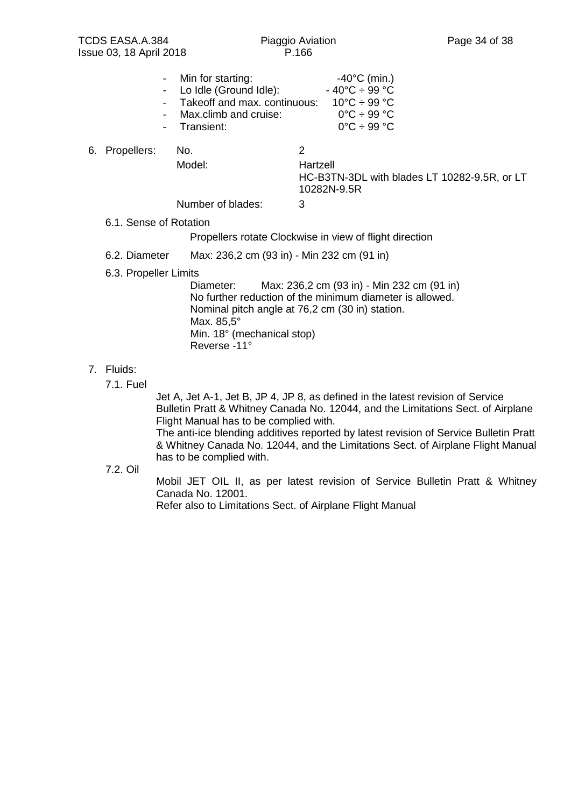| - Min for starting:            | $-40^{\circ}$ C (min.)                 |
|--------------------------------|----------------------------------------|
| - Lo Idle (Ground Idle):       | $-40^{\circ}$ C $\div$ 99 $^{\circ}$ C |
| - Takeoff and max. continuous: | $10^{\circ}$ C ÷ 99 °C                 |
| - Max.climb and cruise:        | $0^{\circ}$ C ÷ 99 $^{\circ}$ C        |
| - Transient:                   | $0^{\circ}$ C ÷ 99 $^{\circ}$ C        |
|                                |                                        |

#### 6. Propellers: No. 2

Model: Hartzell

HC-B3TN-3DL with blades LT 10282-9.5R, or LT 10282N-9.5R

Number of blades: 3

6.1. Sense of Rotation

Propellers rotate Clockwise in view of flight direction

6.2. Diameter Max: 236,2 cm (93 in) - Min 232 cm (91 in)

#### 6.3. Propeller Limits

Diameter: Max: 236,2 cm (93 in) - Min 232 cm (91 in) No further reduction of the minimum diameter is allowed. Nominal pitch angle at 76,2 cm (30 in) station. Max. 85,5° Min. 18° (mechanical stop) Reverse -11°

#### 7. Fluids:

7.1. Fuel

Jet A, Jet A-1, Jet B, JP 4, JP 8, as defined in the latest revision of Service Bulletin Pratt & Whitney Canada No. 12044, and the Limitations Sect. of Airplane Flight Manual has to be complied with.

The anti-ice blending additives reported by latest revision of Service Bulletin Pratt & Whitney Canada No. 12044, and the Limitations Sect. of Airplane Flight Manual has to be complied with.

7.2. Oil

Mobil JET OIL II, as per latest revision of Service Bulletin Pratt & Whitney Canada No. 12001.

Refer also to Limitations Sect. of Airplane Flight Manual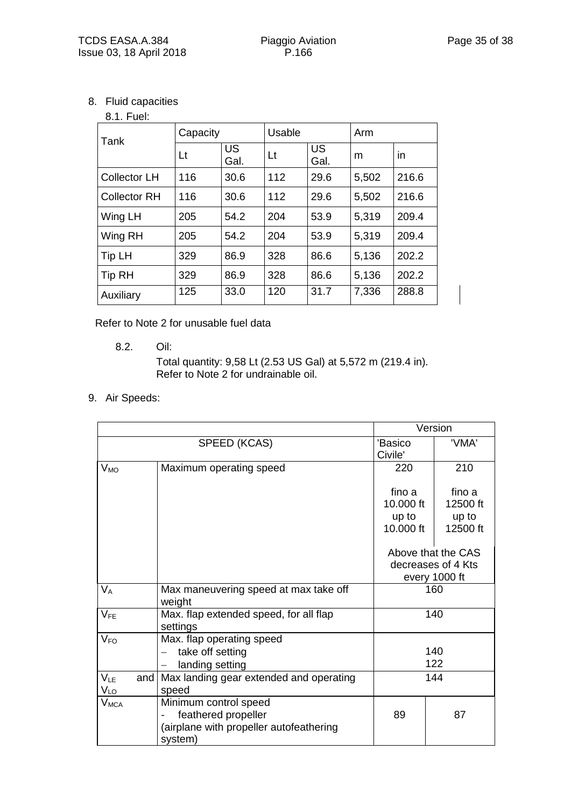8. Fluid capacities

#### 8.1. Fuel:

| Tank                | Capacity |            | Usable |            | Arm   |       |
|---------------------|----------|------------|--------|------------|-------|-------|
|                     | Lt       | US<br>Gal. | Lt     | US<br>Gal. | m     | in    |
| <b>Collector LH</b> | 116      | 30.6       | 112    | 29.6       | 5,502 | 216.6 |
| <b>Collector RH</b> | 116      | 30.6       | 112    | 29.6       | 5,502 | 216.6 |
| Wing LH             | 205      | 54.2       | 204    | 53.9       | 5,319 | 209.4 |
| Wing RH             | 205      | 54.2       | 204    | 53.9       | 5,319 | 209.4 |
| Tip LH              | 329      | 86.9       | 328    | 86.6       | 5,136 | 202.2 |
| <b>Tip RH</b>       | 329      | 86.9       | 328    | 86.6       | 5,136 | 202.2 |
| Auxiliary           | 125      | 33.0       | 120    | 31.7       | 7,336 | 288.8 |

Refer to Note 2 for unusable fuel data

8.2. Oil:

Total quantity: 9,58 Lt (2.53 US Gal) at 5,572 m (219.4 in). Refer to Note 2 for undrainable oil.

9. Air Speeds:

|                        |                                               | Version   |                    |
|------------------------|-----------------------------------------------|-----------|--------------------|
| SPEED (KCAS)           |                                               | 'Basico   | 'VMA'              |
|                        |                                               | Civile'   |                    |
| $V_{MO}$               | Maximum operating speed                       | 220       | 210                |
|                        |                                               |           |                    |
|                        |                                               | fino a    | fino a             |
|                        |                                               | 10.000 ft | 12500 ft           |
|                        |                                               | up to     | up to              |
|                        |                                               | 10.000 ft | 12500 ft           |
|                        |                                               |           |                    |
|                        |                                               |           | Above that the CAS |
|                        |                                               |           | decreases of 4 Kts |
|                        |                                               |           | every 1000 ft      |
| $V_A$                  | Max maneuvering speed at max take off<br>160  |           |                    |
|                        | weight                                        |           |                    |
| $V_{FE}$               | Max. flap extended speed, for all flap<br>140 |           |                    |
|                        | settings                                      |           |                    |
| $V_{FO}$               | Max. flap operating speed                     |           |                    |
|                        | take off setting                              |           | 140                |
|                        | landing setting                               |           | 122                |
| $V_{LE}$<br>and        | Max landing gear extended and operating       |           | 144                |
| $V_{LO}$               | speed                                         |           |                    |
| <b>V<sub>MCA</sub></b> | Minimum control speed                         |           |                    |
|                        | feathered propeller                           | 89        | 87                 |
|                        | (airplane with propeller autofeathering       |           |                    |
|                        | system)                                       |           |                    |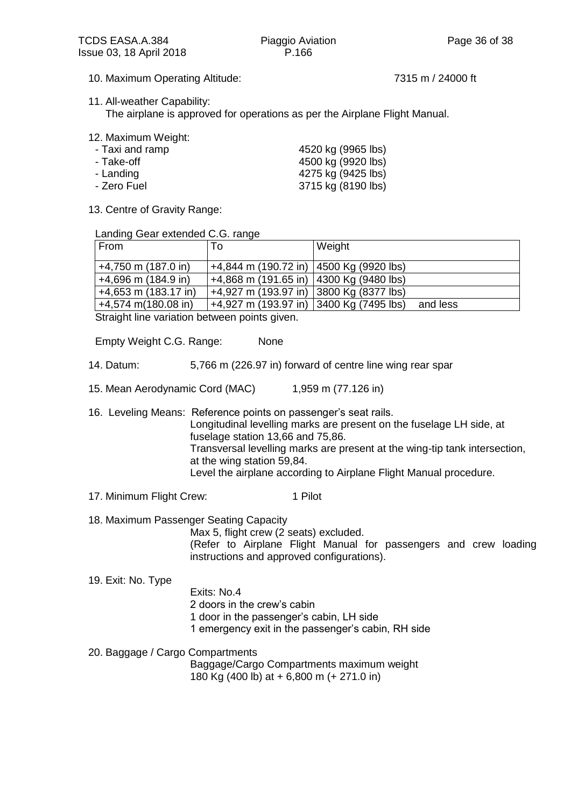- 10. Maximum Operating Altitude: 7315 m / 24000 ft
- 11. All-weather Capability:

The airplane is approved for operations as per the Airplane Flight Manual.

12. Maximum Weight:

| 4520 kg (9965 lbs) |
|--------------------|
| 4500 kg (9920 lbs) |
| 4275 kg (9425 lbs) |
| 3715 kg (8190 lbs) |
|                    |

13. Centre of Gravity Range:

Landing Gear extended C.G. range

| From                   | 10                                        | Weight   |
|------------------------|-------------------------------------------|----------|
| +4,750 m (187.0 in)    | $+4,844$ m (190.72 in) 4500 Kg (9920 lbs) |          |
| $+4,696$ m (184.9 in)  | +4,868 m (191.65 in)   4300 Kg (9480 lbs) |          |
| $+4,653$ m (183.17 in) | +4,927 m (193.97 in) 3800 Kg (8377 lbs)   |          |
| $+4,574$ m(180.08 in)  | +4,927 m (193.97 in) 3400 Kg (7495 lbs)   | and less |

Straight line variation between points given.

Empty Weight C.G. Range: None

- 14. Datum: 5,766 m (226.97 in) forward of centre line wing rear spar
- 15. Mean Aerodynamic Cord (MAC) 1,959 m (77.126 in)

16. Leveling Means: Reference points on passenger's seat rails. Longitudinal levelling marks are present on the fuselage LH side, at fuselage station 13,66 and 75,86. Transversal levelling marks are present at the wing-tip tank intersection, at the wing station 59,84. Level the airplane according to Airplane Flight Manual procedure.

- 17. Minimum Flight Crew: 1 Pilot
- 18. Maximum Passenger Seating Capacity

Max 5, flight crew (2 seats) excluded.

(Refer to Airplane Flight Manual for passengers and crew loading instructions and approved configurations).

19. Exit: No. Type

- Exits: No.4
	- 2 doors in the crew's cabin
	- 1 door in the passenger's cabin, LH side
	- 1 emergency exit in the passenger's cabin, RH side
- 20. Baggage / Cargo Compartments

Baggage/Cargo Compartments maximum weight 180 Kg (400 lb) at + 6,800 m (+ 271.0 in)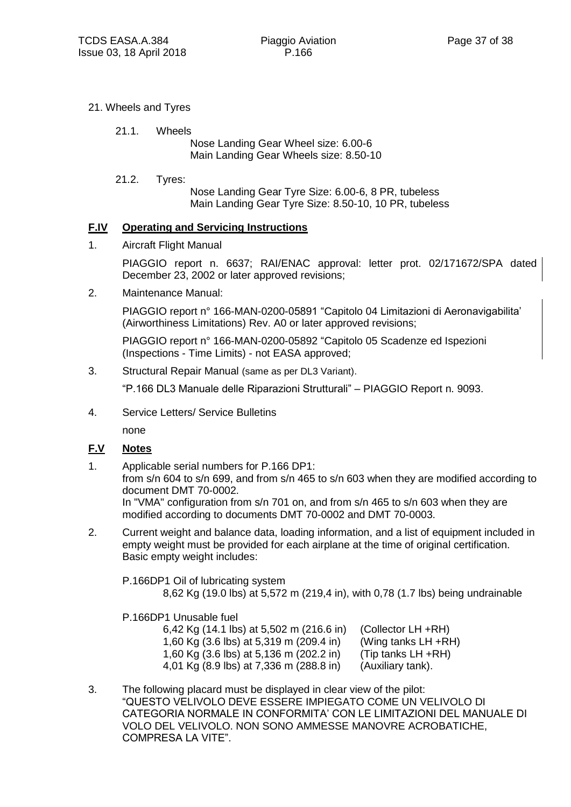- 21. Wheels and Tyres
	- 21.1. Wheels

Nose Landing Gear Wheel size: 6.00-6 Main Landing Gear Wheels size: 8.50-10

21.2. Tyres:

Nose Landing Gear Tyre Size: 6.00-6, 8 PR, tubeless Main Landing Gear Tyre Size: 8.50-10, 10 PR, tubeless

#### **F.IV Operating and Servicing Instructions**

1. Aircraft Flight Manual

PIAGGIO report n. 6637; RAI/ENAC approval: letter prot. 02/171672/SPA dated December 23, 2002 or later approved revisions;

2. Maintenance Manual:

PIAGGIO report n° 166-MAN-0200-05891 "Capitolo 04 Limitazioni di Aeronavigabilita' (Airworthiness Limitations) Rev. A0 or later approved revisions;

PIAGGIO report n° 166-MAN-0200-05892 "Capitolo 05 Scadenze ed Ispezioni (Inspections - Time Limits) - not EASA approved;

3. Structural Repair Manual (same as per DL3 Variant).

"P.166 DL3 Manuale delle Riparazioni Strutturali" – PIAGGIO Report n. 9093.

4. Service Letters/ Service Bulletins

none

#### **F.V Notes**

- 1. Applicable serial numbers for P.166 DP1: from s/n 604 to s/n 699, and from s/n 465 to s/n 603 when they are modified according to document DMT 70-0002. In "VMA" configuration from s/n 701 on, and from s/n 465 to s/n 603 when they are modified according to documents DMT 70-0002 and DMT 70-0003.
- 2. Current weight and balance data, loading information, and a list of equipment included in empty weight must be provided for each airplane at the time of original certification. Basic empty weight includes:

P.166DP1 Oil of lubricating system

8,62 Kg (19.0 lbs) at 5,572 m (219,4 in), with 0,78 (1.7 lbs) being undrainable

P.166DP1 Unusable fuel

- 6,42 Kg (14.1 lbs) at 5,502 m (216.6 in) (Collector LH +RH) 1,60 Kg (3.6 lbs) at 5,319 m (209.4 in) (Wing tanks LH +RH) 1,60 Kg (3.6 lbs) at 5,136 m (202.2 in) (Tip tanks LH +RH) 4,01 Kg (8.9 lbs) at 7,336 m (288.8 in) (Auxiliary tank).
- 3. The following placard must be displayed in clear view of the pilot: "QUESTO VELIVOLO DEVE ESSERE IMPIEGATO COME UN VELIVOLO DI CATEGORIA NORMALE IN CONFORMITA' CON LE LIMITAZIONI DEL MANUALE DI VOLO DEL VELIVOLO. NON SONO AMMESSE MANOVRE ACROBATICHE, COMPRESA LA VITE".